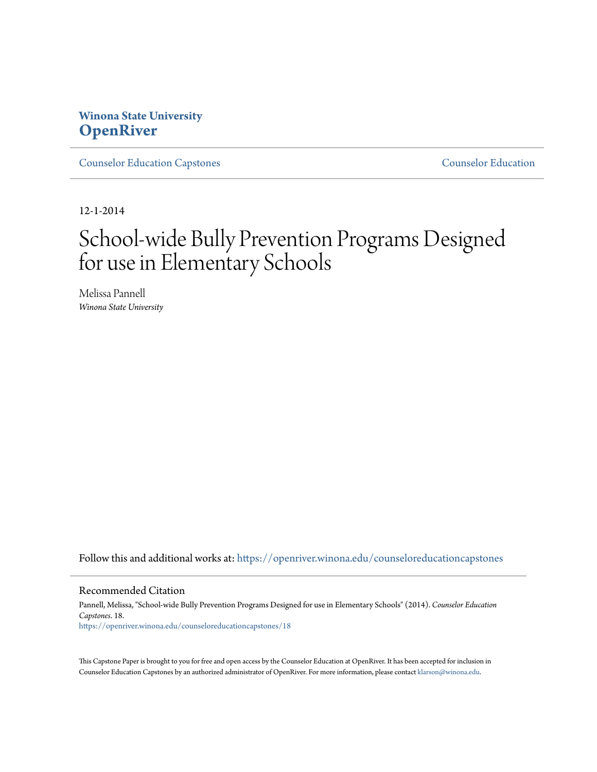### **Winona State University [OpenRiver](https://openriver.winona.edu?utm_source=openriver.winona.edu%2Fcounseloreducationcapstones%2F18&utm_medium=PDF&utm_campaign=PDFCoverPages)**

[Counselor Education Capstones](https://openriver.winona.edu/counseloreducationcapstones?utm_source=openriver.winona.edu%2Fcounseloreducationcapstones%2F18&utm_medium=PDF&utm_campaign=PDFCoverPages) [Counselor Education](https://openriver.winona.edu/counseloreducation?utm_source=openriver.winona.edu%2Fcounseloreducationcapstones%2F18&utm_medium=PDF&utm_campaign=PDFCoverPages)

12-1-2014

# School-wide Bully Prevention Programs Designed for use in Elementary Schools

Melissa Pannell *Winona State University*

Follow this and additional works at: [https://openriver.winona.edu/counseloreducationcapstones](https://openriver.winona.edu/counseloreducationcapstones?utm_source=openriver.winona.edu%2Fcounseloreducationcapstones%2F18&utm_medium=PDF&utm_campaign=PDFCoverPages)

#### Recommended Citation

Pannell, Melissa, "School-wide Bully Prevention Programs Designed for use in Elementary Schools" (2014). *Counselor Education Capstones*. 18. [https://openriver.winona.edu/counseloreducationcapstones/18](https://openriver.winona.edu/counseloreducationcapstones/18?utm_source=openriver.winona.edu%2Fcounseloreducationcapstones%2F18&utm_medium=PDF&utm_campaign=PDFCoverPages)

This Capstone Paper is brought to you for free and open access by the Counselor Education at OpenRiver. It has been accepted for inclusion in Counselor Education Capstones by an authorized administrator of OpenRiver. For more information, please contact [klarson@winona.edu](mailto:klarson@winona.edu).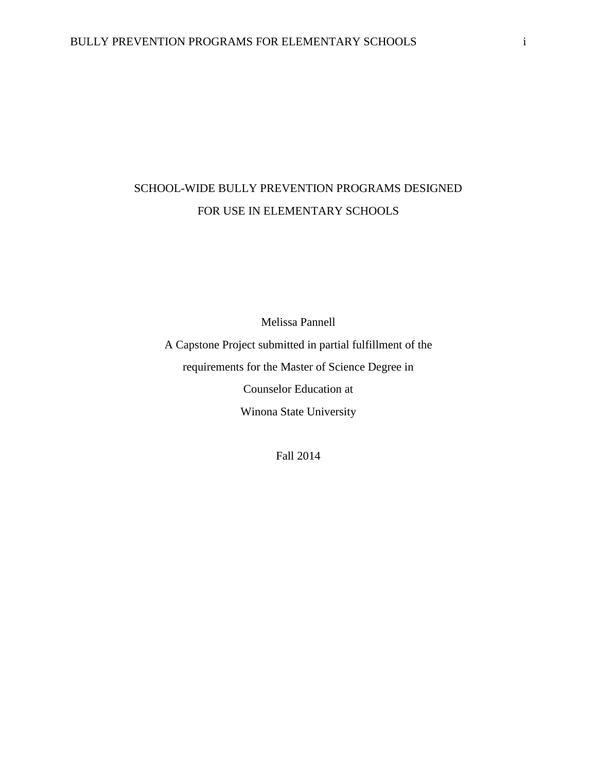# SCHOOL-WIDE BULLY PREVENTION PROGRAMS DESIGNED FOR USE IN ELEMENTARY SCHOOLS

Melissa Pannell

A Capstone Project submitted in partial fulfillment of the requirements for the Master of Science Degree in Counselor Education at Winona State University

Fall 2014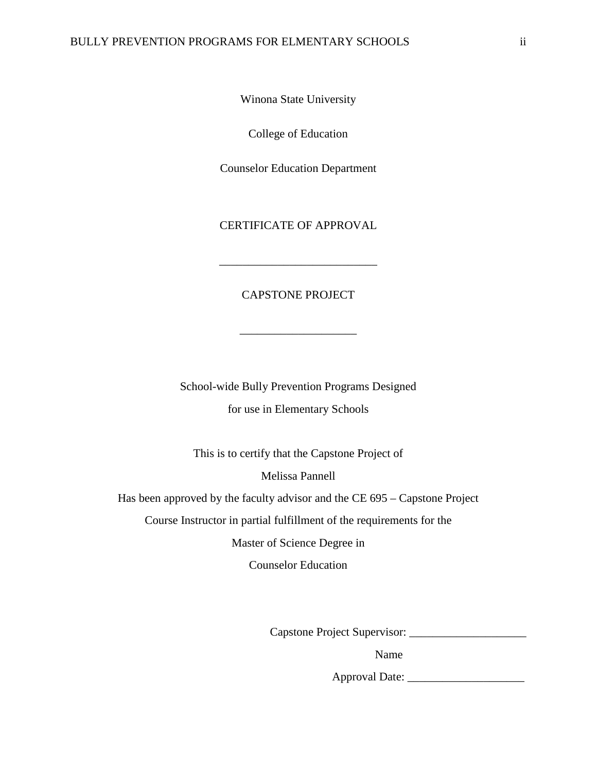Winona State University

College of Education

Counselor Education Department

CERTIFICATE OF APPROVAL

#### CAPSTONE PROJECT

\_\_\_\_\_\_\_\_\_\_\_\_\_\_\_\_\_\_\_\_

\_\_\_\_\_\_\_\_\_\_\_\_\_\_\_\_\_\_\_\_\_\_\_\_\_\_\_

School-wide Bully Prevention Programs Designed for use in Elementary Schools

This is to certify that the Capstone Project of

Melissa Pannell

Has been approved by the faculty advisor and the CE 695 – Capstone Project

Course Instructor in partial fulfillment of the requirements for the

Master of Science Degree in

Counselor Education

Capstone Project Supervisor: \_\_\_\_\_\_\_\_\_\_\_\_\_\_\_\_\_\_\_\_

Name

Approval Date: \_\_\_\_\_\_\_\_\_\_\_\_\_\_\_\_\_\_\_\_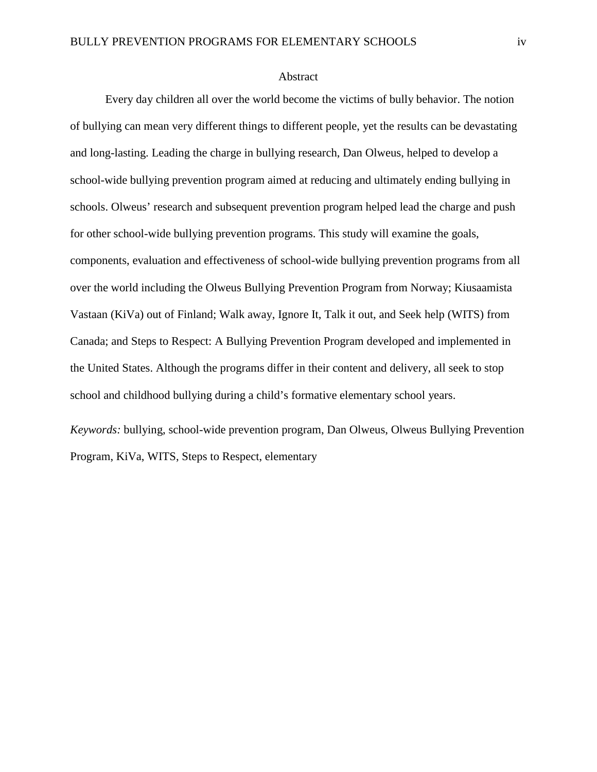#### Abstract

Every day children all over the world become the victims of bully behavior. The notion of bullying can mean very different things to different people, yet the results can be devastating and long-lasting. Leading the charge in bullying research, Dan Olweus, helped to develop a school-wide bullying prevention program aimed at reducing and ultimately ending bullying in schools. Olweus' research and subsequent prevention program helped lead the charge and push for other school-wide bullying prevention programs. This study will examine the goals, components, evaluation and effectiveness of school-wide bullying prevention programs from all over the world including the Olweus Bullying Prevention Program from Norway; Kiusaamista Vastaan (KiVa) out of Finland; Walk away, Ignore It, Talk it out, and Seek help (WITS) from Canada; and Steps to Respect: A Bullying Prevention Program developed and implemented in the United States. Although the programs differ in their content and delivery, all seek to stop school and childhood bullying during a child's formative elementary school years.

*Keywords:* bullying, school-wide prevention program, Dan Olweus, Olweus Bullying Prevention Program, KiVa, WITS, Steps to Respect, elementary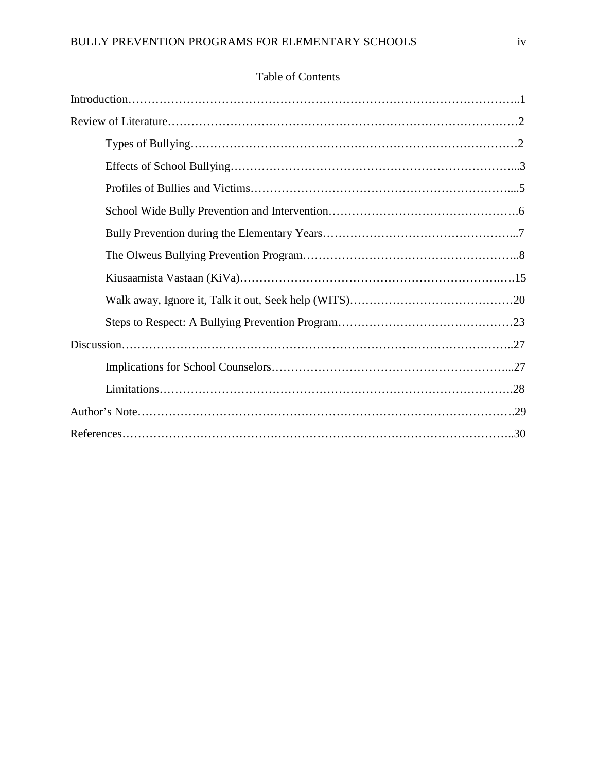### Table of Contents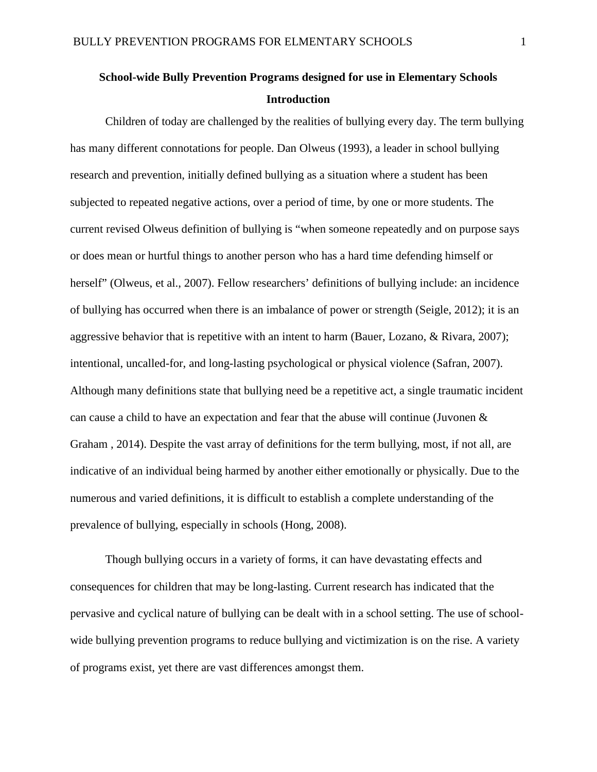## **School-wide Bully Prevention Programs designed for use in Elementary Schools Introduction**

Children of today are challenged by the realities of bullying every day. The term bullying has many different connotations for people. Dan Olweus (1993), a leader in school bullying research and prevention, initially defined bullying as a situation where a student has been subjected to repeated negative actions, over a period of time, by one or more students. The current revised Olweus definition of bullying is "when someone repeatedly and on purpose says or does mean or hurtful things to another person who has a hard time defending himself or herself" (Olweus, et al., 2007). Fellow researchers' definitions of bullying include: an incidence of bullying has occurred when there is an imbalance of power or strength (Seigle, 2012); it is an aggressive behavior that is repetitive with an intent to harm (Bauer, Lozano, & Rivara, 2007); intentional, uncalled-for, and long-lasting psychological or physical violence (Safran, 2007). Although many definitions state that bullying need be a repetitive act, a single traumatic incident can cause a child to have an expectation and fear that the abuse will continue (Juvonen & Graham , 2014). Despite the vast array of definitions for the term bullying, most, if not all, are indicative of an individual being harmed by another either emotionally or physically. Due to the numerous and varied definitions, it is difficult to establish a complete understanding of the prevalence of bullying, especially in schools (Hong, 2008).

Though bullying occurs in a variety of forms, it can have devastating effects and consequences for children that may be long-lasting. Current research has indicated that the pervasive and cyclical nature of bullying can be dealt with in a school setting. The use of schoolwide bullying prevention programs to reduce bullying and victimization is on the rise. A variety of programs exist, yet there are vast differences amongst them.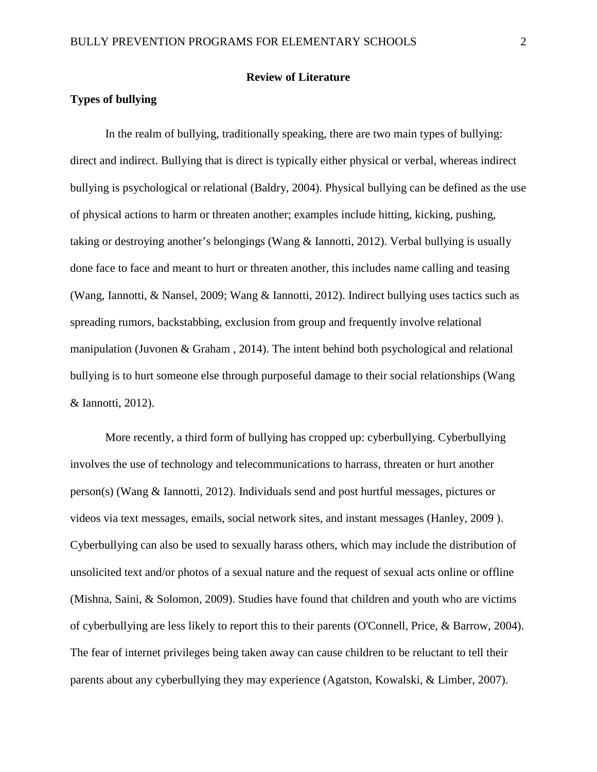#### **Review of Literature**

#### **Types of bullying**

In the realm of bullying, traditionally speaking, there are two main types of bullying: direct and indirect. Bullying that is direct is typically either physical or verbal, whereas indirect bullying is psychological or relational (Baldry, 2004). Physical bullying can be defined as the use of physical actions to harm or threaten another; examples include hitting, kicking, pushing, taking or destroying another's belongings (Wang & Iannotti, 2012). Verbal bullying is usually done face to face and meant to hurt or threaten another, this includes name calling and teasing (Wang, Iannotti, & Nansel, 2009; Wang & Iannotti, 2012). Indirect bullying uses tactics such as spreading rumors, backstabbing, exclusion from group and frequently involve relational manipulation (Juvonen & Graham , 2014). The intent behind both psychological and relational bullying is to hurt someone else through purposeful damage to their social relationships (Wang & Iannotti, 2012).

More recently, a third form of bullying has cropped up: cyberbullying. Cyberbullying involves the use of technology and telecommunications to harrass, threaten or hurt another person(s) (Wang & Iannotti, 2012). Individuals send and post hurtful messages, pictures or videos via text messages, emails, social network sites, and instant messages (Hanley, 2009 ). Cyberbullying can also be used to sexually harass others, which may include the distribution of unsolicited text and/or photos of a sexual nature and the request of sexual acts online or offline (Mishna, Saini, & Solomon, 2009). Studies have found that children and youth who are victims of cyberbullying are less likely to report this to their parents (O'Connell, Price, & Barrow, 2004). The fear of internet privileges being taken away can cause children to be reluctant to tell their parents about any cyberbullying they may experience (Agatston, Kowalski, & Limber, 2007).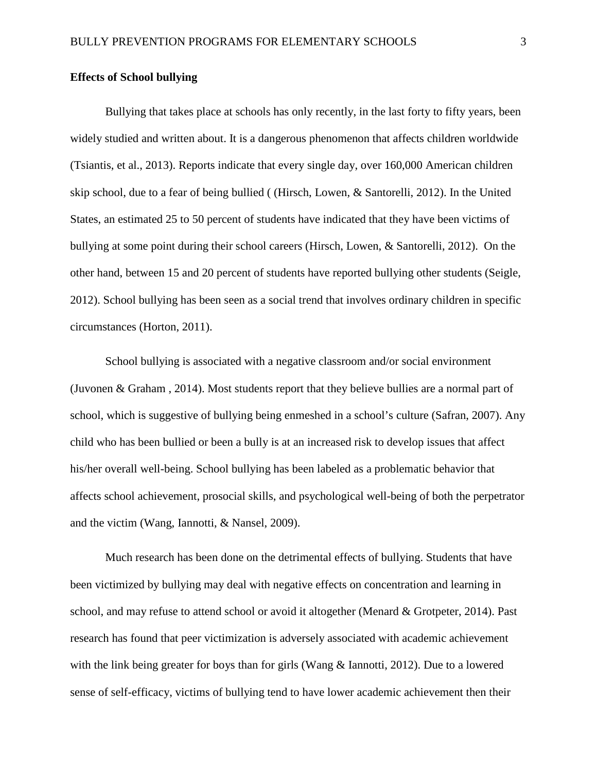#### **Effects of School bullying**

Bullying that takes place at schools has only recently, in the last forty to fifty years, been widely studied and written about. It is a dangerous phenomenon that affects children worldwide (Tsiantis, et al., 2013). Reports indicate that every single day, over 160,000 American children skip school, due to a fear of being bullied ( (Hirsch, Lowen, & Santorelli, 2012). In the United States, an estimated 25 to 50 percent of students have indicated that they have been victims of bullying at some point during their school careers (Hirsch, Lowen, & Santorelli, 2012). On the other hand, between 15 and 20 percent of students have reported bullying other students (Seigle, 2012). School bullying has been seen as a social trend that involves ordinary children in specific circumstances (Horton, 2011).

School bullying is associated with a negative classroom and/or social environment (Juvonen & Graham , 2014). Most students report that they believe bullies are a normal part of school, which is suggestive of bullying being enmeshed in a school's culture (Safran, 2007). Any child who has been bullied or been a bully is at an increased risk to develop issues that affect his/her overall well-being. School bullying has been labeled as a problematic behavior that affects school achievement, prosocial skills, and psychological well-being of both the perpetrator and the victim (Wang, Iannotti, & Nansel, 2009).

Much research has been done on the detrimental effects of bullying. Students that have been victimized by bullying may deal with negative effects on concentration and learning in school, and may refuse to attend school or avoid it altogether (Menard & Grotpeter, 2014). Past research has found that peer victimization is adversely associated with academic achievement with the link being greater for boys than for girls (Wang & Iannotti, 2012). Due to a lowered sense of self-efficacy, victims of bullying tend to have lower academic achievement then their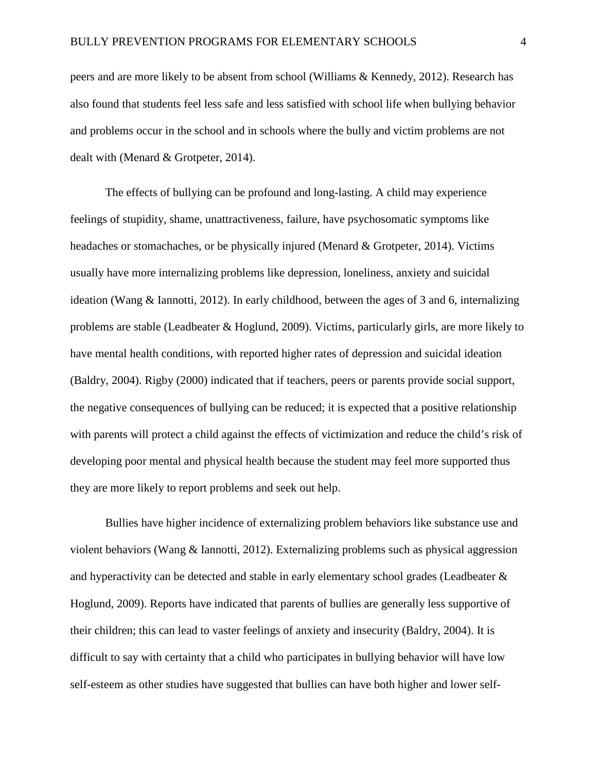peers and are more likely to be absent from school (Williams & Kennedy, 2012). Research has also found that students feel less safe and less satisfied with school life when bullying behavior and problems occur in the school and in schools where the bully and victim problems are not dealt with (Menard & Grotpeter, 2014).

The effects of bullying can be profound and long-lasting. A child may experience feelings of stupidity, shame, unattractiveness, failure, have psychosomatic symptoms like headaches or stomachaches, or be physically injured (Menard & Grotpeter, 2014). Victims usually have more internalizing problems like depression, loneliness, anxiety and suicidal ideation (Wang & Iannotti, 2012). In early childhood, between the ages of 3 and 6, internalizing problems are stable (Leadbeater & Hoglund, 2009). Victims, particularly girls, are more likely to have mental health conditions, with reported higher rates of depression and suicidal ideation (Baldry, 2004). Rigby (2000) indicated that if teachers, peers or parents provide social support, the negative consequences of bullying can be reduced; it is expected that a positive relationship with parents will protect a child against the effects of victimization and reduce the child's risk of developing poor mental and physical health because the student may feel more supported thus they are more likely to report problems and seek out help.

Bullies have higher incidence of externalizing problem behaviors like substance use and violent behaviors (Wang & Iannotti, 2012). Externalizing problems such as physical aggression and hyperactivity can be detected and stable in early elementary school grades (Leadbeater & Hoglund, 2009). Reports have indicated that parents of bullies are generally less supportive of their children; this can lead to vaster feelings of anxiety and insecurity (Baldry, 2004). It is difficult to say with certainty that a child who participates in bullying behavior will have low self-esteem as other studies have suggested that bullies can have both higher and lower self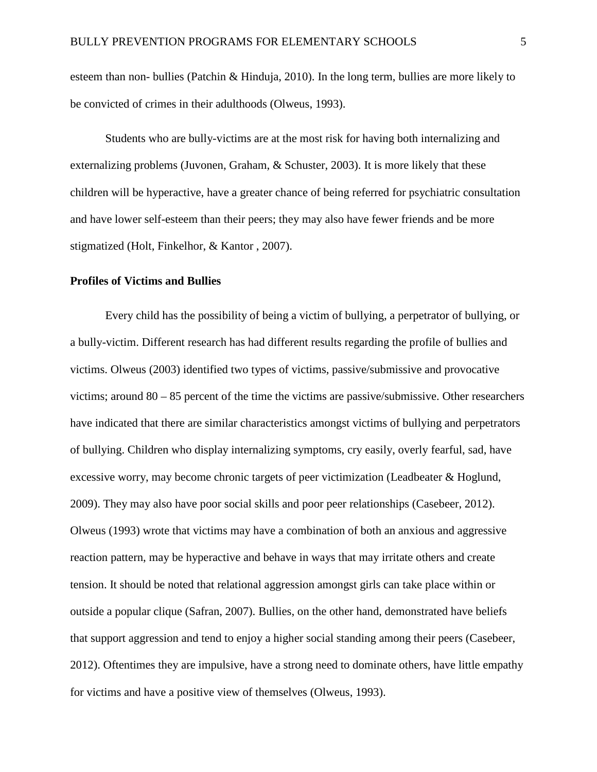esteem than non- bullies (Patchin & Hinduja, 2010). In the long term, bullies are more likely to be convicted of crimes in their adulthoods (Olweus, 1993).

Students who are bully-victims are at the most risk for having both internalizing and externalizing problems (Juvonen, Graham, & Schuster, 2003). It is more likely that these children will be hyperactive, have a greater chance of being referred for psychiatric consultation and have lower self-esteem than their peers; they may also have fewer friends and be more stigmatized (Holt, Finkelhor, & Kantor , 2007).

#### **Profiles of Victims and Bullies**

Every child has the possibility of being a victim of bullying, a perpetrator of bullying, or a bully-victim. Different research has had different results regarding the profile of bullies and victims. Olweus (2003) identified two types of victims, passive/submissive and provocative victims; around 80 – 85 percent of the time the victims are passive/submissive. Other researchers have indicated that there are similar characteristics amongst victims of bullying and perpetrators of bullying. Children who display internalizing symptoms, cry easily, overly fearful, sad, have excessive worry, may become chronic targets of peer victimization (Leadbeater & Hoglund, 2009). They may also have poor social skills and poor peer relationships (Casebeer, 2012). Olweus (1993) wrote that victims may have a combination of both an anxious and aggressive reaction pattern, may be hyperactive and behave in ways that may irritate others and create tension. It should be noted that relational aggression amongst girls can take place within or outside a popular clique (Safran, 2007). Bullies, on the other hand, demonstrated have beliefs that support aggression and tend to enjoy a higher social standing among their peers (Casebeer, 2012). Oftentimes they are impulsive, have a strong need to dominate others, have little empathy for victims and have a positive view of themselves (Olweus, 1993).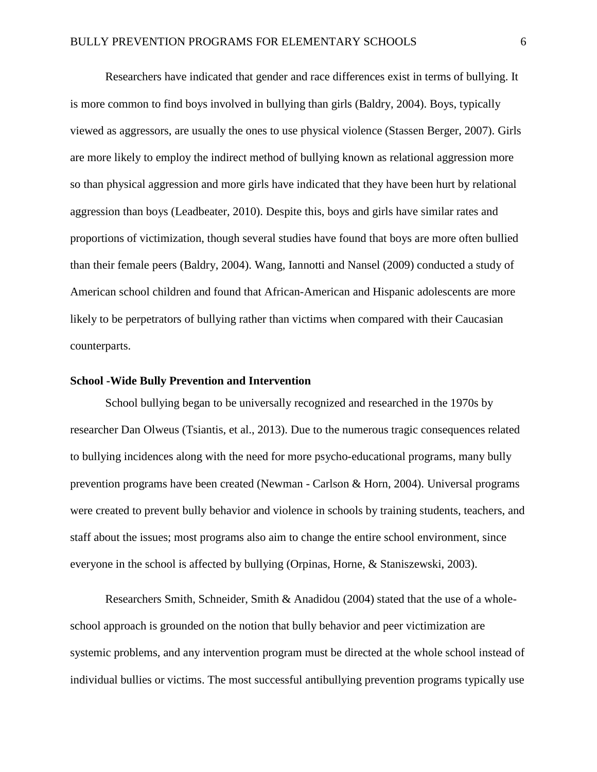Researchers have indicated that gender and race differences exist in terms of bullying. It is more common to find boys involved in bullying than girls (Baldry, 2004). Boys, typically viewed as aggressors, are usually the ones to use physical violence (Stassen Berger, 2007). Girls are more likely to employ the indirect method of bullying known as relational aggression more so than physical aggression and more girls have indicated that they have been hurt by relational aggression than boys (Leadbeater, 2010). Despite this, boys and girls have similar rates and proportions of victimization, though several studies have found that boys are more often bullied than their female peers (Baldry, 2004). Wang, Iannotti and Nansel (2009) conducted a study of American school children and found that African-American and Hispanic adolescents are more likely to be perpetrators of bullying rather than victims when compared with their Caucasian counterparts.

#### **School -Wide Bully Prevention and Intervention**

School bullying began to be universally recognized and researched in the 1970s by researcher Dan Olweus (Tsiantis, et al., 2013). Due to the numerous tragic consequences related to bullying incidences along with the need for more psycho-educational programs, many bully prevention programs have been created (Newman - Carlson & Horn, 2004). Universal programs were created to prevent bully behavior and violence in schools by training students, teachers, and staff about the issues; most programs also aim to change the entire school environment, since everyone in the school is affected by bullying (Orpinas, Horne, & Staniszewski, 2003).

Researchers Smith, Schneider, Smith & Anadidou (2004) stated that the use of a wholeschool approach is grounded on the notion that bully behavior and peer victimization are systemic problems, and any intervention program must be directed at the whole school instead of individual bullies or victims. The most successful antibullying prevention programs typically use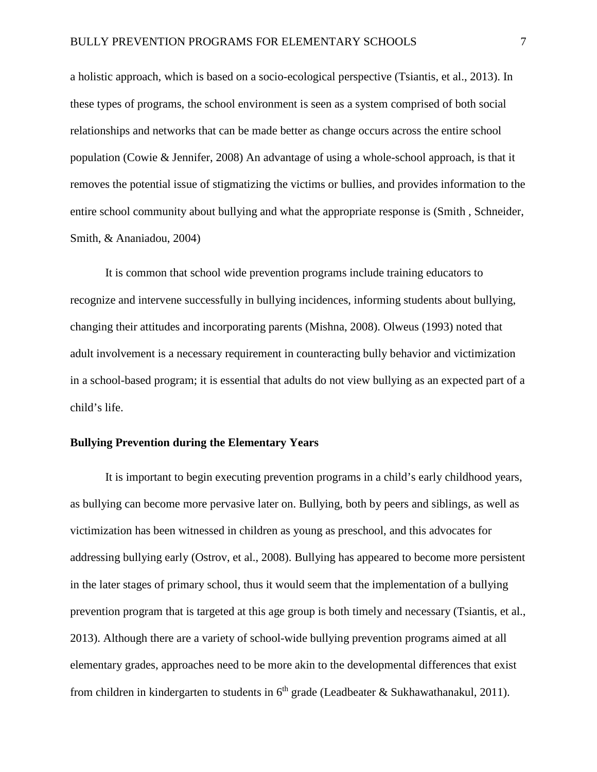a holistic approach, which is based on a socio-ecological perspective (Tsiantis, et al., 2013). In these types of programs, the school environment is seen as a system comprised of both social relationships and networks that can be made better as change occurs across the entire school population (Cowie & Jennifer, 2008) An advantage of using a whole-school approach, is that it removes the potential issue of stigmatizing the victims or bullies, and provides information to the entire school community about bullying and what the appropriate response is (Smith , Schneider, Smith, & Ananiadou, 2004)

It is common that school wide prevention programs include training educators to recognize and intervene successfully in bullying incidences, informing students about bullying, changing their attitudes and incorporating parents (Mishna, 2008). Olweus (1993) noted that adult involvement is a necessary requirement in counteracting bully behavior and victimization in a school-based program; it is essential that adults do not view bullying as an expected part of a child's life.

#### **Bullying Prevention during the Elementary Years**

It is important to begin executing prevention programs in a child's early childhood years, as bullying can become more pervasive later on. Bullying, both by peers and siblings, as well as victimization has been witnessed in children as young as preschool, and this advocates for addressing bullying early (Ostrov, et al., 2008). Bullying has appeared to become more persistent in the later stages of primary school, thus it would seem that the implementation of a bullying prevention program that is targeted at this age group is both timely and necessary (Tsiantis, et al., 2013). Although there are a variety of school-wide bullying prevention programs aimed at all elementary grades, approaches need to be more akin to the developmental differences that exist from children in kindergarten to students in  $6<sup>th</sup>$  grade (Leadbeater & Sukhawathanakul, 2011).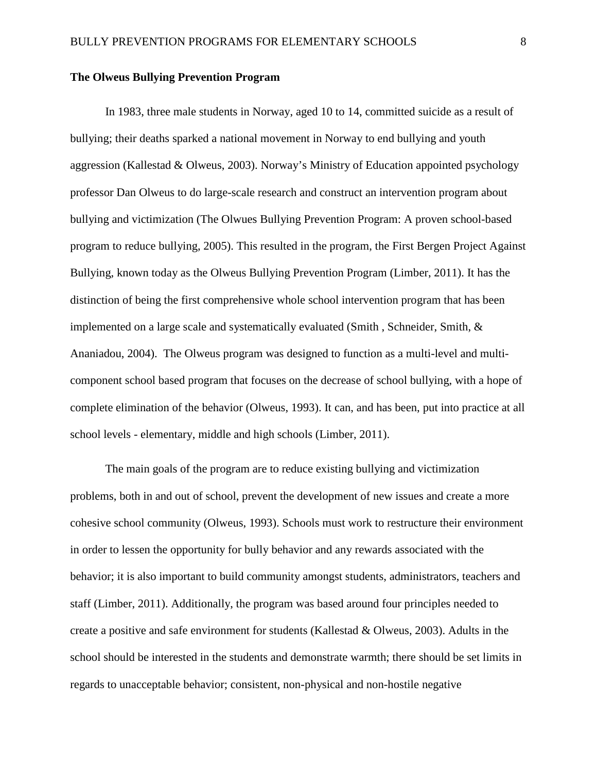#### **The Olweus Bullying Prevention Program**

In 1983, three male students in Norway, aged 10 to 14, committed suicide as a result of bullying; their deaths sparked a national movement in Norway to end bullying and youth aggression (Kallestad & Olweus, 2003). Norway's Ministry of Education appointed psychology professor Dan Olweus to do large-scale research and construct an intervention program about bullying and victimization (The Olwues Bullying Prevention Program: A proven school-based program to reduce bullying, 2005). This resulted in the program, the First Bergen Project Against Bullying, known today as the Olweus Bullying Prevention Program (Limber, 2011). It has the distinction of being the first comprehensive whole school intervention program that has been implemented on a large scale and systematically evaluated (Smith , Schneider, Smith, & Ananiadou, 2004). The Olweus program was designed to function as a multi-level and multicomponent school based program that focuses on the decrease of school bullying, with a hope of complete elimination of the behavior (Olweus, 1993). It can, and has been, put into practice at all school levels - elementary, middle and high schools (Limber, 2011).

The main goals of the program are to reduce existing bullying and victimization problems, both in and out of school, prevent the development of new issues and create a more cohesive school community (Olweus, 1993). Schools must work to restructure their environment in order to lessen the opportunity for bully behavior and any rewards associated with the behavior; it is also important to build community amongst students, administrators, teachers and staff (Limber, 2011). Additionally, the program was based around four principles needed to create a positive and safe environment for students (Kallestad & Olweus, 2003). Adults in the school should be interested in the students and demonstrate warmth; there should be set limits in regards to unacceptable behavior; consistent, non-physical and non-hostile negative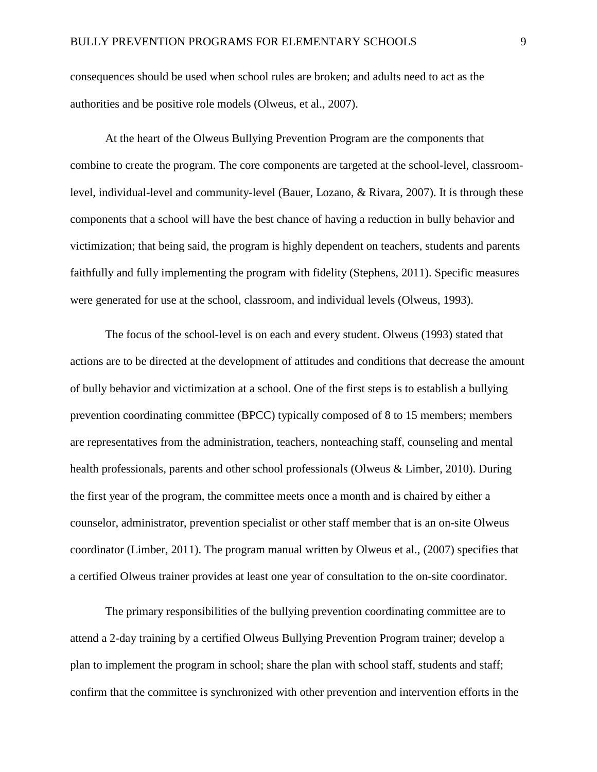consequences should be used when school rules are broken; and adults need to act as the authorities and be positive role models (Olweus, et al., 2007).

At the heart of the Olweus Bullying Prevention Program are the components that combine to create the program. The core components are targeted at the school-level, classroomlevel, individual-level and community-level (Bauer, Lozano, & Rivara, 2007). It is through these components that a school will have the best chance of having a reduction in bully behavior and victimization; that being said, the program is highly dependent on teachers, students and parents faithfully and fully implementing the program with fidelity (Stephens, 2011). Specific measures were generated for use at the school, classroom, and individual levels (Olweus, 1993).

The focus of the school-level is on each and every student. Olweus (1993) stated that actions are to be directed at the development of attitudes and conditions that decrease the amount of bully behavior and victimization at a school. One of the first steps is to establish a bullying prevention coordinating committee (BPCC) typically composed of 8 to 15 members; members are representatives from the administration, teachers, nonteaching staff, counseling and mental health professionals, parents and other school professionals (Olweus & Limber, 2010). During the first year of the program, the committee meets once a month and is chaired by either a counselor, administrator, prevention specialist or other staff member that is an on-site Olweus coordinator (Limber, 2011). The program manual written by Olweus et al., (2007) specifies that a certified Olweus trainer provides at least one year of consultation to the on-site coordinator.

The primary responsibilities of the bullying prevention coordinating committee are to attend a 2-day training by a certified Olweus Bullying Prevention Program trainer; develop a plan to implement the program in school; share the plan with school staff, students and staff; confirm that the committee is synchronized with other prevention and intervention efforts in the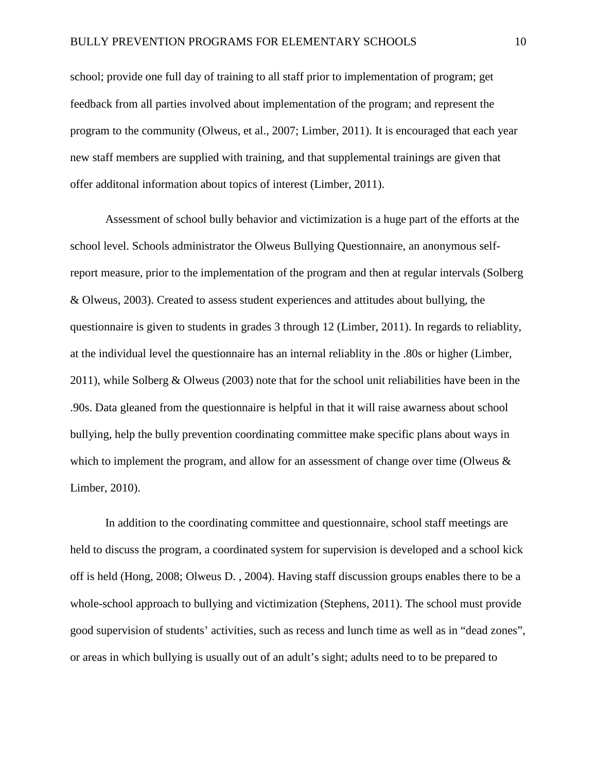school; provide one full day of training to all staff prior to implementation of program; get feedback from all parties involved about implementation of the program; and represent the program to the community (Olweus, et al., 2007; Limber, 2011). It is encouraged that each year new staff members are supplied with training, and that supplemental trainings are given that offer additonal information about topics of interest (Limber, 2011).

Assessment of school bully behavior and victimization is a huge part of the efforts at the school level. Schools administrator the Olweus Bullying Questionnaire, an anonymous selfreport measure, prior to the implementation of the program and then at regular intervals (Solberg & Olweus, 2003). Created to assess student experiences and attitudes about bullying, the questionnaire is given to students in grades 3 through 12 (Limber, 2011). In regards to reliablity, at the individual level the questionnaire has an internal reliablity in the .80s or higher (Limber, 2011), while Solberg & Olweus (2003) note that for the school unit reliabilities have been in the .90s. Data gleaned from the questionnaire is helpful in that it will raise awarness about school bullying, help the bully prevention coordinating committee make specific plans about ways in which to implement the program, and allow for an assessment of change over time (Olweus & Limber, 2010).

In addition to the coordinating committee and questionnaire, school staff meetings are held to discuss the program, a coordinated system for supervision is developed and a school kick off is held (Hong, 2008; Olweus D. , 2004). Having staff discussion groups enables there to be a whole-school approach to bullying and victimization (Stephens, 2011). The school must provide good supervision of students' activities, such as recess and lunch time as well as in "dead zones", or areas in which bullying is usually out of an adult's sight; adults need to to be prepared to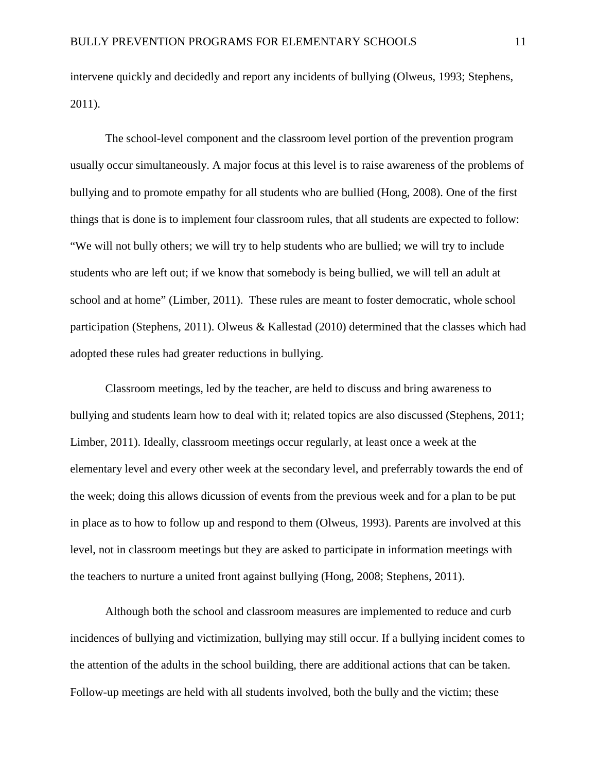intervene quickly and decidedly and report any incidents of bullying (Olweus, 1993; Stephens, 2011).

The school-level component and the classroom level portion of the prevention program usually occur simultaneously. A major focus at this level is to raise awareness of the problems of bullying and to promote empathy for all students who are bullied (Hong, 2008). One of the first things that is done is to implement four classroom rules, that all students are expected to follow: "We will not bully others; we will try to help students who are bullied; we will try to include students who are left out; if we know that somebody is being bullied, we will tell an adult at school and at home" (Limber, 2011). These rules are meant to foster democratic, whole school participation (Stephens, 2011). Olweus & Kallestad (2010) determined that the classes which had adopted these rules had greater reductions in bullying.

Classroom meetings, led by the teacher, are held to discuss and bring awareness to bullying and students learn how to deal with it; related topics are also discussed (Stephens, 2011; Limber, 2011). Ideally, classroom meetings occur regularly, at least once a week at the elementary level and every other week at the secondary level, and preferrably towards the end of the week; doing this allows dicussion of events from the previous week and for a plan to be put in place as to how to follow up and respond to them (Olweus, 1993). Parents are involved at this level, not in classroom meetings but they are asked to participate in information meetings with the teachers to nurture a united front against bullying (Hong, 2008; Stephens, 2011).

Although both the school and classroom measures are implemented to reduce and curb incidences of bullying and victimization, bullying may still occur. If a bullying incident comes to the attention of the adults in the school building, there are additional actions that can be taken. Follow-up meetings are held with all students involved, both the bully and the victim; these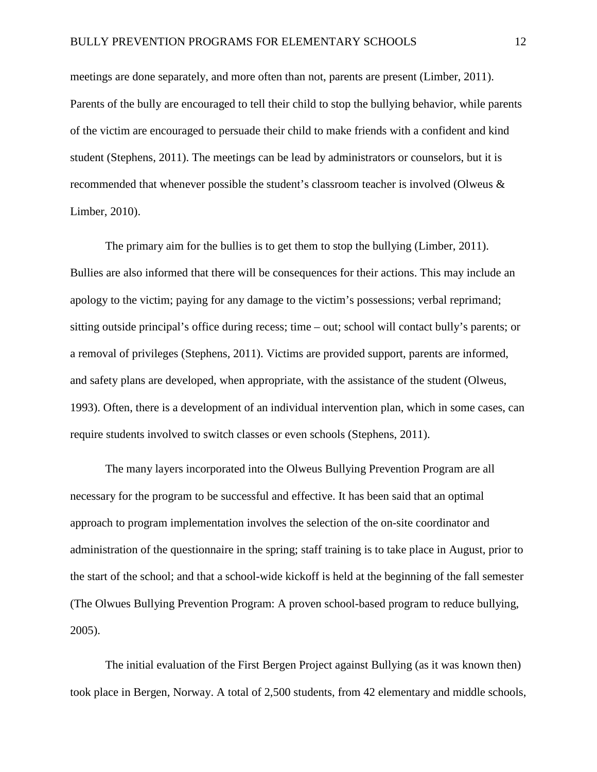meetings are done separately, and more often than not, parents are present (Limber, 2011). Parents of the bully are encouraged to tell their child to stop the bullying behavior, while parents of the victim are encouraged to persuade their child to make friends with a confident and kind student (Stephens, 2011). The meetings can be lead by administrators or counselors, but it is recommended that whenever possible the student's classroom teacher is involved (Olweus & Limber, 2010).

The primary aim for the bullies is to get them to stop the bullying (Limber, 2011). Bullies are also informed that there will be consequences for their actions. This may include an apology to the victim; paying for any damage to the victim's possessions; verbal reprimand; sitting outside principal's office during recess; time – out; school will contact bully's parents; or a removal of privileges (Stephens, 2011). Victims are provided support, parents are informed, and safety plans are developed, when appropriate, with the assistance of the student (Olweus, 1993). Often, there is a development of an individual intervention plan, which in some cases, can require students involved to switch classes or even schools (Stephens, 2011).

The many layers incorporated into the Olweus Bullying Prevention Program are all necessary for the program to be successful and effective. It has been said that an optimal approach to program implementation involves the selection of the on-site coordinator and administration of the questionnaire in the spring; staff training is to take place in August, prior to the start of the school; and that a school-wide kickoff is held at the beginning of the fall semester (The Olwues Bullying Prevention Program: A proven school-based program to reduce bullying, 2005).

The initial evaluation of the First Bergen Project against Bullying (as it was known then) took place in Bergen, Norway. A total of 2,500 students, from 42 elementary and middle schools,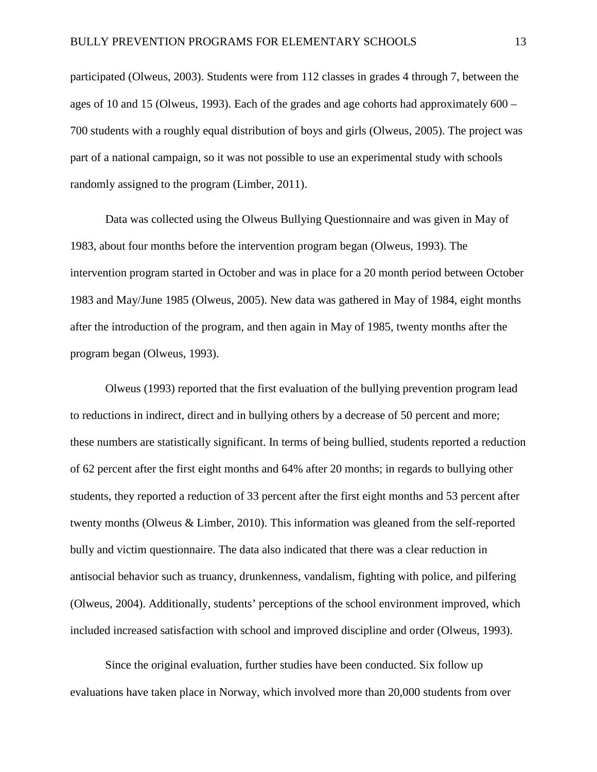participated (Olweus, 2003). Students were from 112 classes in grades 4 through 7, between the ages of 10 and 15 (Olweus, 1993). Each of the grades and age cohorts had approximately 600 – 700 students with a roughly equal distribution of boys and girls (Olweus, 2005). The project was part of a national campaign, so it was not possible to use an experimental study with schools randomly assigned to the program (Limber, 2011).

Data was collected using the Olweus Bullying Questionnaire and was given in May of 1983, about four months before the intervention program began (Olweus, 1993). The intervention program started in October and was in place for a 20 month period between October 1983 and May/June 1985 (Olweus, 2005). New data was gathered in May of 1984, eight months after the introduction of the program, and then again in May of 1985, twenty months after the program began (Olweus, 1993).

Olweus (1993) reported that the first evaluation of the bullying prevention program lead to reductions in indirect, direct and in bullying others by a decrease of 50 percent and more; these numbers are statistically significant. In terms of being bullied, students reported a reduction of 62 percent after the first eight months and 64% after 20 months; in regards to bullying other students, they reported a reduction of 33 percent after the first eight months and 53 percent after twenty months (Olweus & Limber, 2010). This information was gleaned from the self-reported bully and victim questionnaire. The data also indicated that there was a clear reduction in antisocial behavior such as truancy, drunkenness, vandalism, fighting with police, and pilfering (Olweus, 2004). Additionally, students' perceptions of the school environment improved, which included increased satisfaction with school and improved discipline and order (Olweus, 1993).

Since the original evaluation, further studies have been conducted. Six follow up evaluations have taken place in Norway, which involved more than 20,000 students from over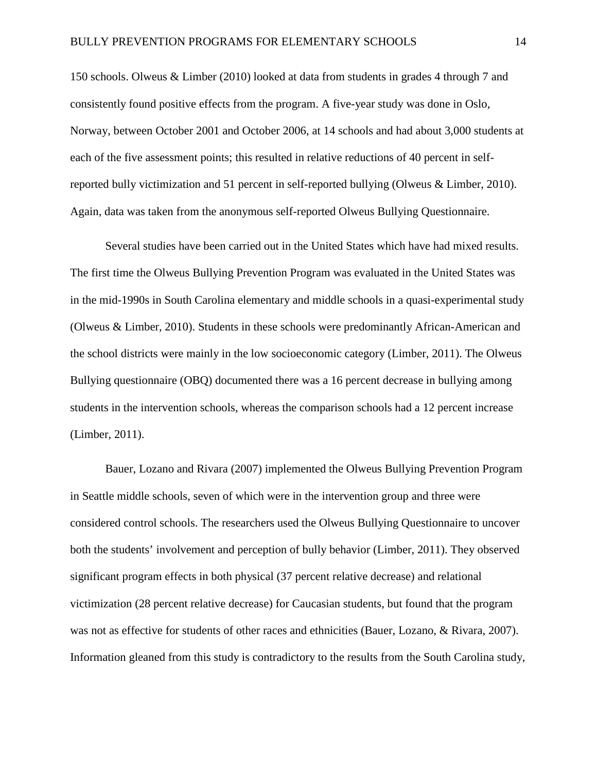150 schools. Olweus & Limber (2010) looked at data from students in grades 4 through 7 and consistently found positive effects from the program. A five-year study was done in Oslo, Norway, between October 2001 and October 2006, at 14 schools and had about 3,000 students at each of the five assessment points; this resulted in relative reductions of 40 percent in selfreported bully victimization and 51 percent in self-reported bullying (Olweus & Limber, 2010). Again, data was taken from the anonymous self-reported Olweus Bullying Questionnaire.

Several studies have been carried out in the United States which have had mixed results. The first time the Olweus Bullying Prevention Program was evaluated in the United States was in the mid-1990s in South Carolina elementary and middle schools in a quasi-experimental study (Olweus & Limber, 2010). Students in these schools were predominantly African-American and the school districts were mainly in the low socioeconomic category (Limber, 2011). The Olweus Bullying questionnaire (OBQ) documented there was a 16 percent decrease in bullying among students in the intervention schools, whereas the comparison schools had a 12 percent increase (Limber, 2011).

Bauer, Lozano and Rivara (2007) implemented the Olweus Bullying Prevention Program in Seattle middle schools, seven of which were in the intervention group and three were considered control schools. The researchers used the Olweus Bullying Questionnaire to uncover both the students' involvement and perception of bully behavior (Limber, 2011). They observed significant program effects in both physical (37 percent relative decrease) and relational victimization (28 percent relative decrease) for Caucasian students, but found that the program was not as effective for students of other races and ethnicities (Bauer, Lozano, & Rivara, 2007). Information gleaned from this study is contradictory to the results from the South Carolina study,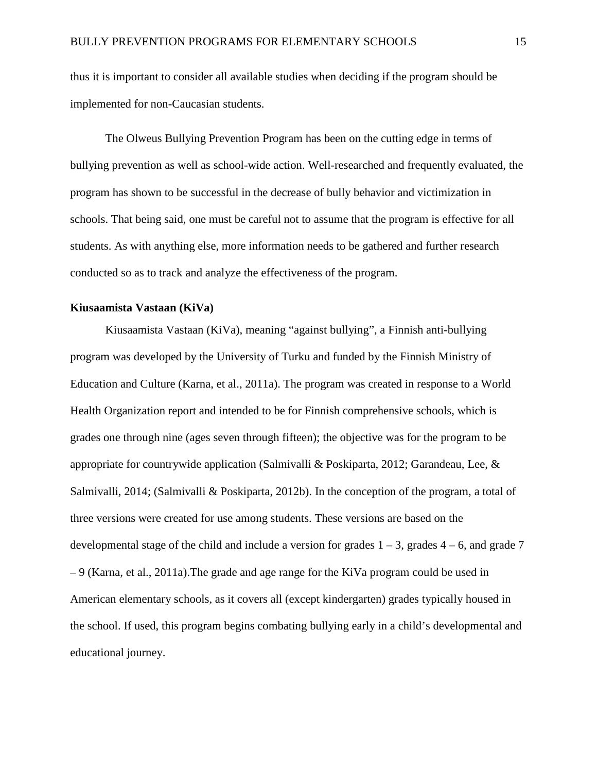thus it is important to consider all available studies when deciding if the program should be implemented for non-Caucasian students.

The Olweus Bullying Prevention Program has been on the cutting edge in terms of bullying prevention as well as school-wide action. Well-researched and frequently evaluated, the program has shown to be successful in the decrease of bully behavior and victimization in schools. That being said, one must be careful not to assume that the program is effective for all students. As with anything else, more information needs to be gathered and further research conducted so as to track and analyze the effectiveness of the program.

#### **Kiusaamista Vastaan (KiVa)**

Kiusaamista Vastaan (KiVa), meaning "against bullying", a Finnish anti-bullying program was developed by the University of Turku and funded by the Finnish Ministry of Education and Culture (Karna, et al., 2011a). The program was created in response to a World Health Organization report and intended to be for Finnish comprehensive schools, which is grades one through nine (ages seven through fifteen); the objective was for the program to be appropriate for countrywide application (Salmivalli & Poskiparta, 2012; Garandeau, Lee,  $\&$ Salmivalli, 2014; (Salmivalli & Poskiparta, 2012b). In the conception of the program, a total of three versions were created for use among students. These versions are based on the developmental stage of the child and include a version for grades  $1 - 3$ , grades  $4 - 6$ , and grade 7 – 9 (Karna, et al., 2011a).The grade and age range for the KiVa program could be used in American elementary schools, as it covers all (except kindergarten) grades typically housed in the school. If used, this program begins combating bullying early in a child's developmental and educational journey.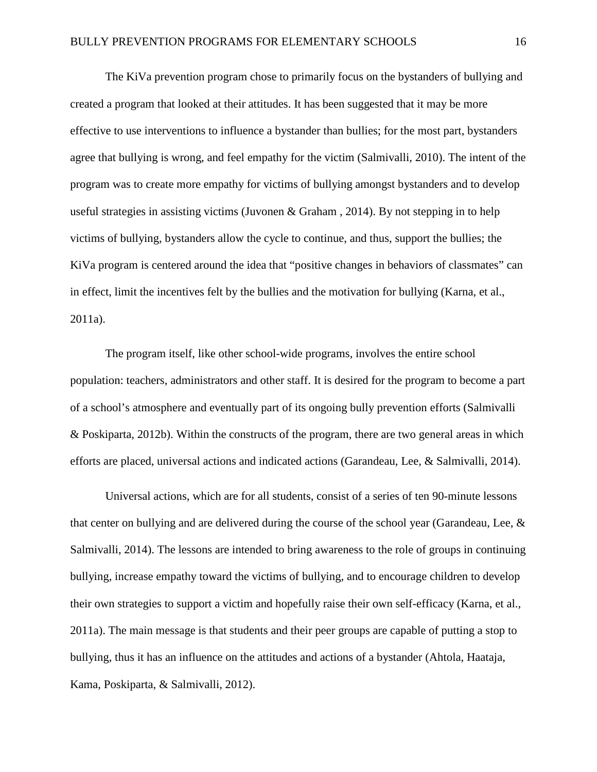The KiVa prevention program chose to primarily focus on the bystanders of bullying and created a program that looked at their attitudes. It has been suggested that it may be more effective to use interventions to influence a bystander than bullies; for the most part, bystanders agree that bullying is wrong, and feel empathy for the victim (Salmivalli, 2010). The intent of the program was to create more empathy for victims of bullying amongst bystanders and to develop useful strategies in assisting victims (Juvonen & Graham , 2014). By not stepping in to help victims of bullying, bystanders allow the cycle to continue, and thus, support the bullies; the KiVa program is centered around the idea that "positive changes in behaviors of classmates" can in effect, limit the incentives felt by the bullies and the motivation for bullying (Karna, et al., 2011a).

The program itself, like other school-wide programs, involves the entire school population: teachers, administrators and other staff. It is desired for the program to become a part of a school's atmosphere and eventually part of its ongoing bully prevention efforts (Salmivalli & Poskiparta, 2012b). Within the constructs of the program, there are two general areas in which efforts are placed, universal actions and indicated actions (Garandeau, Lee, & Salmivalli, 2014).

Universal actions, which are for all students, consist of a series of ten 90-minute lessons that center on bullying and are delivered during the course of the school year (Garandeau, Lee, & Salmivalli, 2014). The lessons are intended to bring awareness to the role of groups in continuing bullying, increase empathy toward the victims of bullying, and to encourage children to develop their own strategies to support a victim and hopefully raise their own self-efficacy (Karna, et al., 2011a). The main message is that students and their peer groups are capable of putting a stop to bullying, thus it has an influence on the attitudes and actions of a bystander (Ahtola, Haataja, Kama, Poskiparta, & Salmivalli, 2012).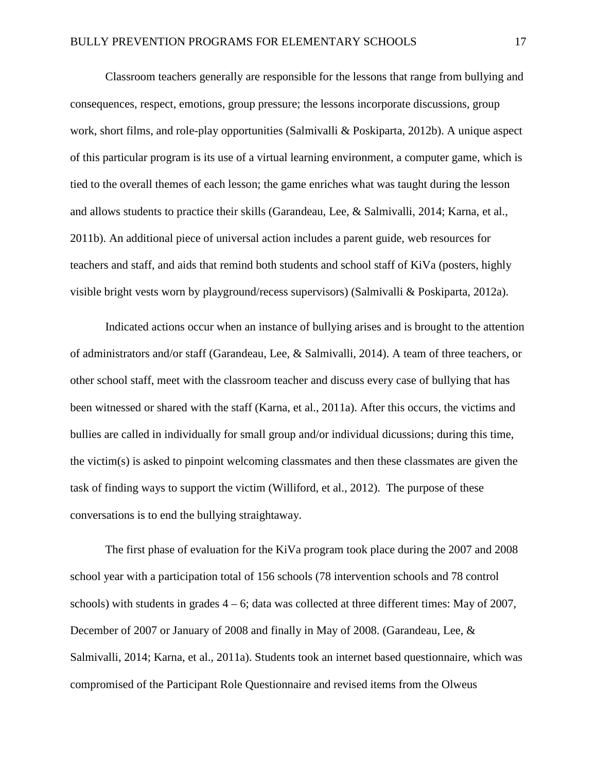Classroom teachers generally are responsible for the lessons that range from bullying and consequences, respect, emotions, group pressure; the lessons incorporate discussions, group work, short films, and role-play opportunities (Salmivalli & Poskiparta, 2012b). A unique aspect of this particular program is its use of a virtual learning environment, a computer game, which is tied to the overall themes of each lesson; the game enriches what was taught during the lesson and allows students to practice their skills (Garandeau, Lee, & Salmivalli, 2014; Karna, et al., 2011b). An additional piece of universal action includes a parent guide, web resources for teachers and staff, and aids that remind both students and school staff of KiVa (posters, highly visible bright vests worn by playground/recess supervisors) (Salmivalli & Poskiparta, 2012a).

Indicated actions occur when an instance of bullying arises and is brought to the attention of administrators and/or staff (Garandeau, Lee, & Salmivalli, 2014). A team of three teachers, or other school staff, meet with the classroom teacher and discuss every case of bullying that has been witnessed or shared with the staff (Karna, et al., 2011a). After this occurs, the victims and bullies are called in individually for small group and/or individual dicussions; during this time, the victim(s) is asked to pinpoint welcoming classmates and then these classmates are given the task of finding ways to support the victim (Williford, et al., 2012). The purpose of these conversations is to end the bullying straightaway.

The first phase of evaluation for the KiVa program took place during the 2007 and 2008 school year with a participation total of 156 schools (78 intervention schools and 78 control schools) with students in grades  $4 - 6$ ; data was collected at three different times: May of 2007, December of 2007 or January of 2008 and finally in May of 2008. (Garandeau, Lee, & Salmivalli, 2014; Karna, et al., 2011a). Students took an internet based questionnaire, which was compromised of the Participant Role Questionnaire and revised items from the Olweus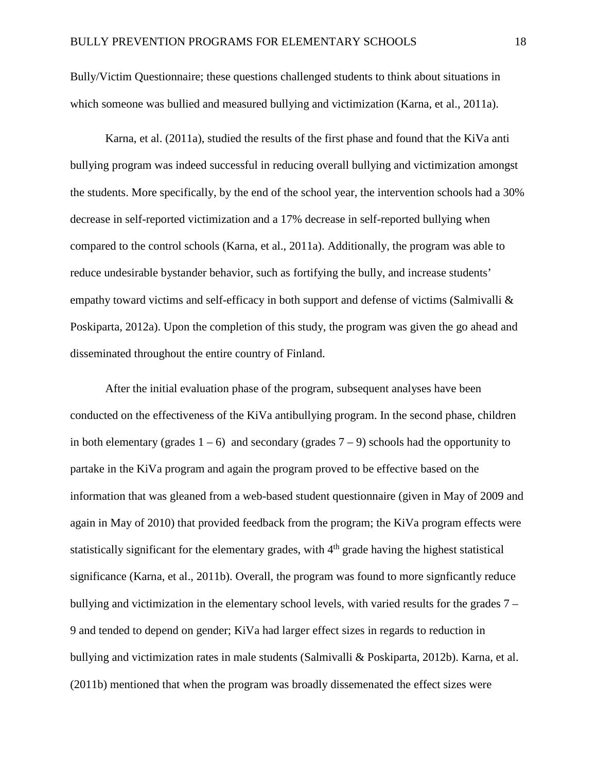Bully/Victim Questionnaire; these questions challenged students to think about situations in which someone was bullied and measured bullying and victimization (Karna, et al., 2011a).

Karna, et al. (2011a), studied the results of the first phase and found that the KiVa anti bullying program was indeed successful in reducing overall bullying and victimization amongst the students. More specifically, by the end of the school year, the intervention schools had a 30% decrease in self-reported victimization and a 17% decrease in self-reported bullying when compared to the control schools (Karna, et al., 2011a). Additionally, the program was able to reduce undesirable bystander behavior, such as fortifying the bully, and increase students' empathy toward victims and self-efficacy in both support and defense of victims (Salmivalli & Poskiparta, 2012a). Upon the completion of this study, the program was given the go ahead and disseminated throughout the entire country of Finland.

After the initial evaluation phase of the program, subsequent analyses have been conducted on the effectiveness of the KiVa antibullying program. In the second phase, children in both elementary (grades  $1 - 6$ ) and secondary (grades  $7 - 9$ ) schools had the opportunity to partake in the KiVa program and again the program proved to be effective based on the information that was gleaned from a web-based student questionnaire (given in May of 2009 and again in May of 2010) that provided feedback from the program; the KiVa program effects were statistically significant for the elementary grades, with  $4<sup>th</sup>$  grade having the highest statistical significance (Karna, et al., 2011b). Overall, the program was found to more signficantly reduce bullying and victimization in the elementary school levels, with varied results for the grades 7 – 9 and tended to depend on gender; KiVa had larger effect sizes in regards to reduction in bullying and victimization rates in male students (Salmivalli & Poskiparta, 2012b). Karna, et al. (2011b) mentioned that when the program was broadly dissemenated the effect sizes were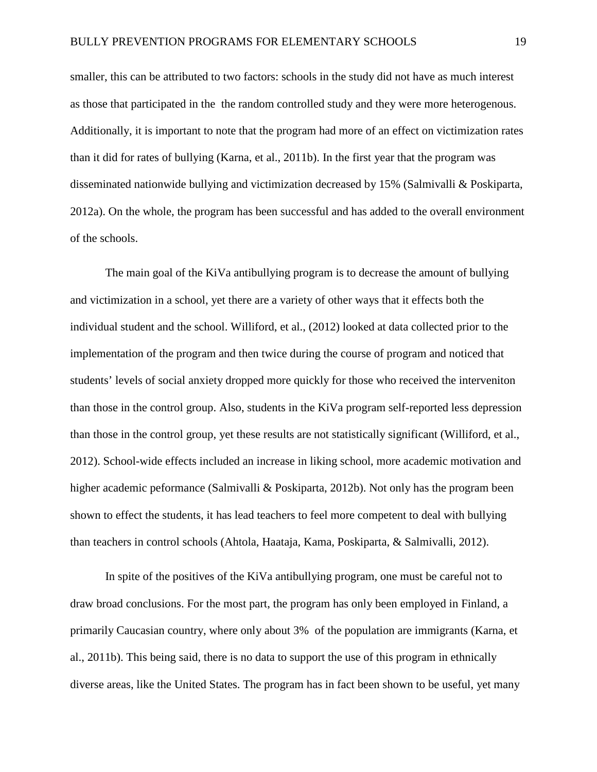smaller, this can be attributed to two factors: schools in the study did not have as much interest as those that participated in the the random controlled study and they were more heterogenous. Additionally, it is important to note that the program had more of an effect on victimization rates than it did for rates of bullying (Karna, et al., 2011b). In the first year that the program was disseminated nationwide bullying and victimization decreased by 15% (Salmivalli & Poskiparta, 2012a). On the whole, the program has been successful and has added to the overall environment of the schools.

The main goal of the KiVa antibullying program is to decrease the amount of bullying and victimization in a school, yet there are a variety of other ways that it effects both the individual student and the school. Williford, et al., (2012) looked at data collected prior to the implementation of the program and then twice during the course of program and noticed that students' levels of social anxiety dropped more quickly for those who received the interveniton than those in the control group. Also, students in the KiVa program self-reported less depression than those in the control group, yet these results are not statistically significant (Williford, et al., 2012). School-wide effects included an increase in liking school, more academic motivation and higher academic peformance (Salmivalli & Poskiparta, 2012b). Not only has the program been shown to effect the students, it has lead teachers to feel more competent to deal with bullying than teachers in control schools (Ahtola, Haataja, Kama, Poskiparta, & Salmivalli, 2012).

In spite of the positives of the KiVa antibullying program, one must be careful not to draw broad conclusions. For the most part, the program has only been employed in Finland, a primarily Caucasian country, where only about 3% of the population are immigrants (Karna, et al., 2011b). This being said, there is no data to support the use of this program in ethnically diverse areas, like the United States. The program has in fact been shown to be useful, yet many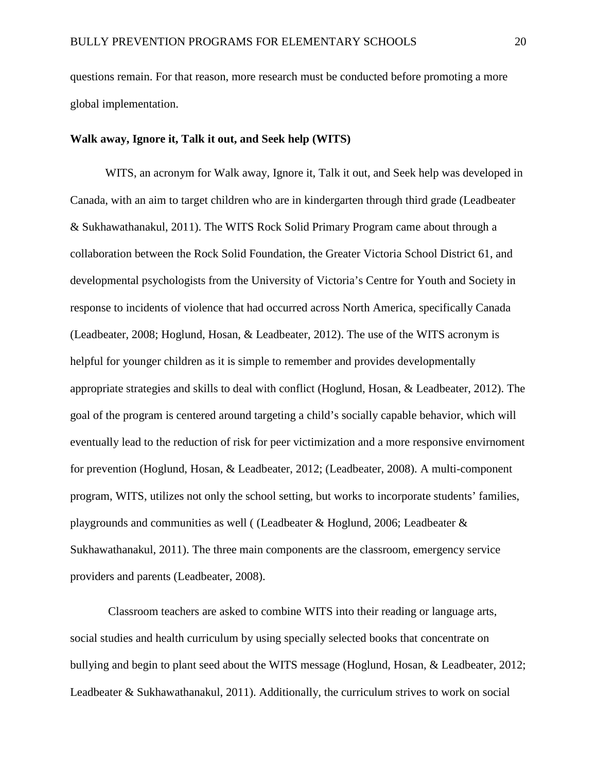questions remain. For that reason, more research must be conducted before promoting a more global implementation.

#### **Walk away, Ignore it, Talk it out, and Seek help (WITS)**

WITS, an acronym for Walk away, Ignore it, Talk it out, and Seek help was developed in Canada, with an aim to target children who are in kindergarten through third grade (Leadbeater & Sukhawathanakul, 2011). The WITS Rock Solid Primary Program came about through a collaboration between the Rock Solid Foundation, the Greater Victoria School District 61, and developmental psychologists from the University of Victoria's Centre for Youth and Society in response to incidents of violence that had occurred across North America, specifically Canada (Leadbeater, 2008; Hoglund, Hosan, & Leadbeater, 2012). The use of the WITS acronym is helpful for younger children as it is simple to remember and provides developmentally appropriate strategies and skills to deal with conflict (Hoglund, Hosan, & Leadbeater, 2012). The goal of the program is centered around targeting a child's socially capable behavior, which will eventually lead to the reduction of risk for peer victimization and a more responsive envirnoment for prevention (Hoglund, Hosan, & Leadbeater, 2012; (Leadbeater, 2008). A multi-component program, WITS, utilizes not only the school setting, but works to incorporate students' families, playgrounds and communities as well ( (Leadbeater & Hoglund, 2006; Leadbeater & Sukhawathanakul, 2011). The three main components are the classroom, emergency service providers and parents (Leadbeater, 2008).

Classroom teachers are asked to combine WITS into their reading or language arts, social studies and health curriculum by using specially selected books that concentrate on bullying and begin to plant seed about the WITS message (Hoglund, Hosan, & Leadbeater, 2012; Leadbeater & Sukhawathanakul, 2011). Additionally, the curriculum strives to work on social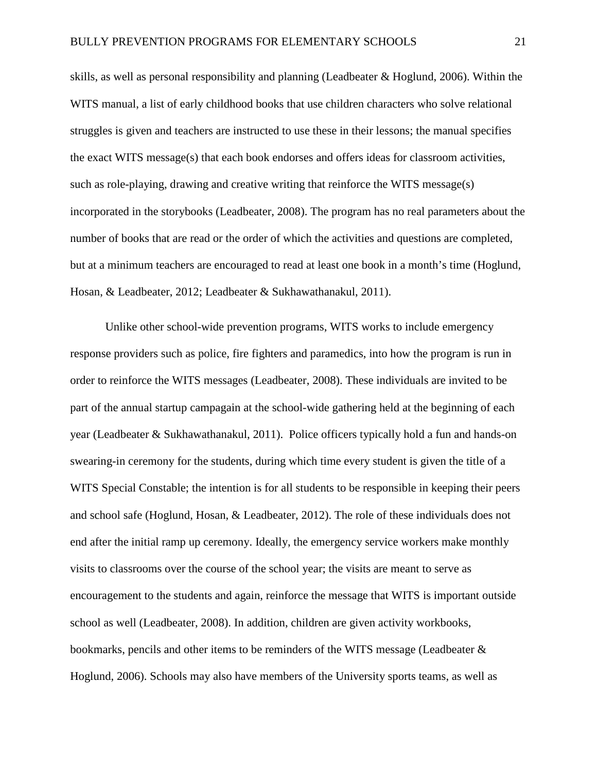skills, as well as personal responsibility and planning (Leadbeater & Hoglund, 2006). Within the WITS manual, a list of early childhood books that use children characters who solve relational struggles is given and teachers are instructed to use these in their lessons; the manual specifies the exact WITS message(s) that each book endorses and offers ideas for classroom activities, such as role-playing, drawing and creative writing that reinforce the WITS message(s) incorporated in the storybooks (Leadbeater, 2008). The program has no real parameters about the number of books that are read or the order of which the activities and questions are completed, but at a minimum teachers are encouraged to read at least one book in a month's time (Hoglund, Hosan, & Leadbeater, 2012; Leadbeater & Sukhawathanakul, 2011).

Unlike other school-wide prevention programs, WITS works to include emergency response providers such as police, fire fighters and paramedics, into how the program is run in order to reinforce the WITS messages (Leadbeater, 2008). These individuals are invited to be part of the annual startup campagain at the school-wide gathering held at the beginning of each year (Leadbeater & Sukhawathanakul, 2011). Police officers typically hold a fun and hands-on swearing-in ceremony for the students, during which time every student is given the title of a WITS Special Constable; the intention is for all students to be responsible in keeping their peers and school safe (Hoglund, Hosan, & Leadbeater, 2012). The role of these individuals does not end after the initial ramp up ceremony. Ideally, the emergency service workers make monthly visits to classrooms over the course of the school year; the visits are meant to serve as encouragement to the students and again, reinforce the message that WITS is important outside school as well (Leadbeater, 2008). In addition, children are given activity workbooks, bookmarks, pencils and other items to be reminders of the WITS message (Leadbeater & Hoglund, 2006). Schools may also have members of the University sports teams, as well as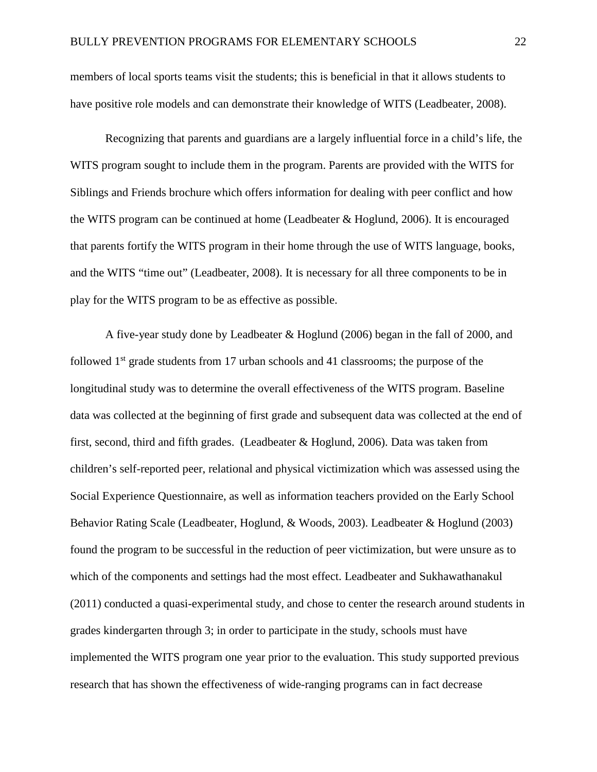members of local sports teams visit the students; this is beneficial in that it allows students to have positive role models and can demonstrate their knowledge of WITS (Leadbeater, 2008).

Recognizing that parents and guardians are a largely influential force in a child's life, the WITS program sought to include them in the program. Parents are provided with the WITS for Siblings and Friends brochure which offers information for dealing with peer conflict and how the WITS program can be continued at home (Leadbeater & Hoglund, 2006). It is encouraged that parents fortify the WITS program in their home through the use of WITS language, books, and the WITS "time out" (Leadbeater, 2008). It is necessary for all three components to be in play for the WITS program to be as effective as possible.

A five-year study done by Leadbeater & Hoglund (2006) began in the fall of 2000, and followed  $1<sup>st</sup>$  grade students from 17 urban schools and 41 classrooms; the purpose of the longitudinal study was to determine the overall effectiveness of the WITS program. Baseline data was collected at the beginning of first grade and subsequent data was collected at the end of first, second, third and fifth grades. (Leadbeater & Hoglund, 2006). Data was taken from children's self-reported peer, relational and physical victimization which was assessed using the Social Experience Questionnaire, as well as information teachers provided on the Early School Behavior Rating Scale (Leadbeater, Hoglund, & Woods, 2003). Leadbeater & Hoglund (2003) found the program to be successful in the reduction of peer victimization, but were unsure as to which of the components and settings had the most effect. Leadbeater and Sukhawathanakul (2011) conducted a quasi-experimental study, and chose to center the research around students in grades kindergarten through 3; in order to participate in the study, schools must have implemented the WITS program one year prior to the evaluation. This study supported previous research that has shown the effectiveness of wide-ranging programs can in fact decrease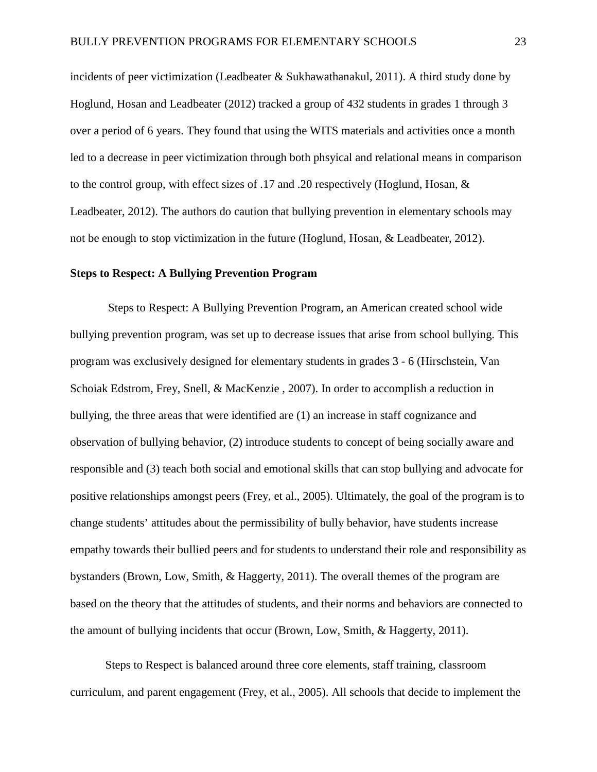incidents of peer victimization (Leadbeater & Sukhawathanakul, 2011). A third study done by Hoglund, Hosan and Leadbeater (2012) tracked a group of 432 students in grades 1 through 3 over a period of 6 years. They found that using the WITS materials and activities once a month led to a decrease in peer victimization through both phsyical and relational means in comparison to the control group, with effect sizes of .17 and .20 respectively (Hoglund, Hosan, & Leadbeater, 2012). The authors do caution that bullying prevention in elementary schools may not be enough to stop victimization in the future (Hoglund, Hosan, & Leadbeater, 2012).

#### **Steps to Respect: A Bullying Prevention Program**

Steps to Respect: A Bullying Prevention Program, an American created school wide bullying prevention program, was set up to decrease issues that arise from school bullying. This program was exclusively designed for elementary students in grades 3 - 6 (Hirschstein, Van Schoiak Edstrom, Frey, Snell, & MacKenzie , 2007). In order to accomplish a reduction in bullying, the three areas that were identified are (1) an increase in staff cognizance and observation of bullying behavior, (2) introduce students to concept of being socially aware and responsible and (3) teach both social and emotional skills that can stop bullying and advocate for positive relationships amongst peers (Frey, et al., 2005). Ultimately, the goal of the program is to change students' attitudes about the permissibility of bully behavior, have students increase empathy towards their bullied peers and for students to understand their role and responsibility as bystanders (Brown, Low, Smith, & Haggerty, 2011). The overall themes of the program are based on the theory that the attitudes of students, and their norms and behaviors are connected to the amount of bullying incidents that occur (Brown, Low, Smith, & Haggerty, 2011).

Steps to Respect is balanced around three core elements, staff training, classroom curriculum, and parent engagement (Frey, et al., 2005). All schools that decide to implement the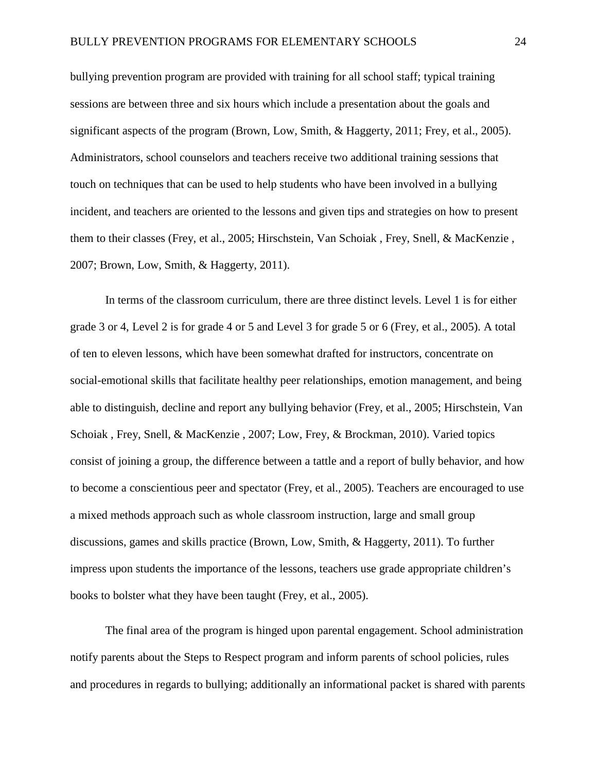bullying prevention program are provided with training for all school staff; typical training sessions are between three and six hours which include a presentation about the goals and significant aspects of the program (Brown, Low, Smith, & Haggerty, 2011; Frey, et al., 2005). Administrators, school counselors and teachers receive two additional training sessions that touch on techniques that can be used to help students who have been involved in a bullying incident, and teachers are oriented to the lessons and given tips and strategies on how to present them to their classes (Frey, et al., 2005; Hirschstein, Van Schoiak , Frey, Snell, & MacKenzie , 2007; Brown, Low, Smith, & Haggerty, 2011).

In terms of the classroom curriculum, there are three distinct levels. Level 1 is for either grade 3 or 4, Level 2 is for grade 4 or 5 and Level 3 for grade 5 or 6 (Frey, et al., 2005). A total of ten to eleven lessons, which have been somewhat drafted for instructors, concentrate on social-emotional skills that facilitate healthy peer relationships, emotion management, and being able to distinguish, decline and report any bullying behavior (Frey, et al., 2005; Hirschstein, Van Schoiak , Frey, Snell, & MacKenzie , 2007; Low, Frey, & Brockman, 2010). Varied topics consist of joining a group, the difference between a tattle and a report of bully behavior, and how to become a conscientious peer and spectator (Frey, et al., 2005). Teachers are encouraged to use a mixed methods approach such as whole classroom instruction, large and small group discussions, games and skills practice (Brown, Low, Smith, & Haggerty, 2011). To further impress upon students the importance of the lessons, teachers use grade appropriate children's books to bolster what they have been taught (Frey, et al., 2005).

The final area of the program is hinged upon parental engagement. School administration notify parents about the Steps to Respect program and inform parents of school policies, rules and procedures in regards to bullying; additionally an informational packet is shared with parents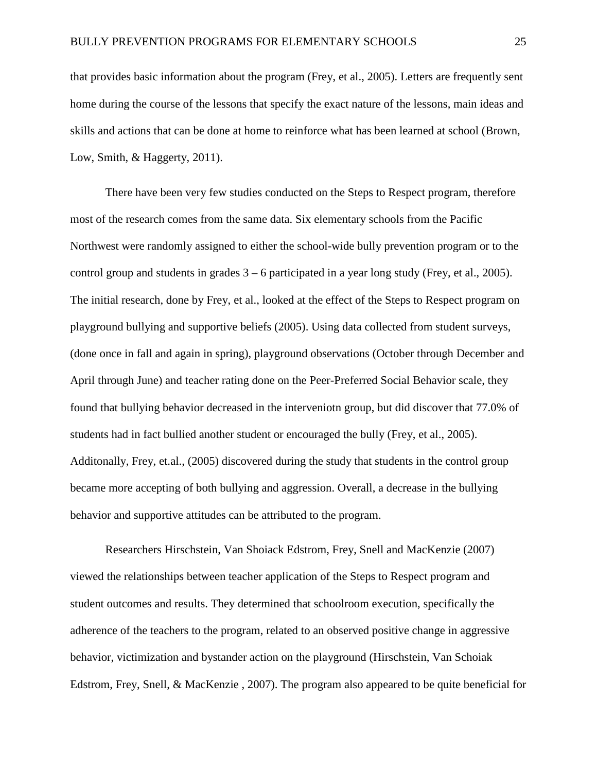that provides basic information about the program (Frey, et al., 2005). Letters are frequently sent home during the course of the lessons that specify the exact nature of the lessons, main ideas and skills and actions that can be done at home to reinforce what has been learned at school (Brown, Low, Smith, & Haggerty, 2011).

There have been very few studies conducted on the Steps to Respect program, therefore most of the research comes from the same data. Six elementary schools from the Pacific Northwest were randomly assigned to either the school-wide bully prevention program or to the control group and students in grades 3 – 6 participated in a year long study (Frey, et al., 2005). The initial research, done by Frey, et al., looked at the effect of the Steps to Respect program on playground bullying and supportive beliefs (2005). Using data collected from student surveys, (done once in fall and again in spring), playground observations (October through December and April through June) and teacher rating done on the Peer-Preferred Social Behavior scale, they found that bullying behavior decreased in the interveniotn group, but did discover that 77.0% of students had in fact bullied another student or encouraged the bully (Frey, et al., 2005). Additonally, Frey, et.al., (2005) discovered during the study that students in the control group became more accepting of both bullying and aggression. Overall, a decrease in the bullying behavior and supportive attitudes can be attributed to the program.

Researchers Hirschstein, Van Shoiack Edstrom, Frey, Snell and MacKenzie (2007) viewed the relationships between teacher application of the Steps to Respect program and student outcomes and results. They determined that schoolroom execution, specifically the adherence of the teachers to the program, related to an observed positive change in aggressive behavior, victimization and bystander action on the playground (Hirschstein, Van Schoiak Edstrom, Frey, Snell, & MacKenzie , 2007). The program also appeared to be quite beneficial for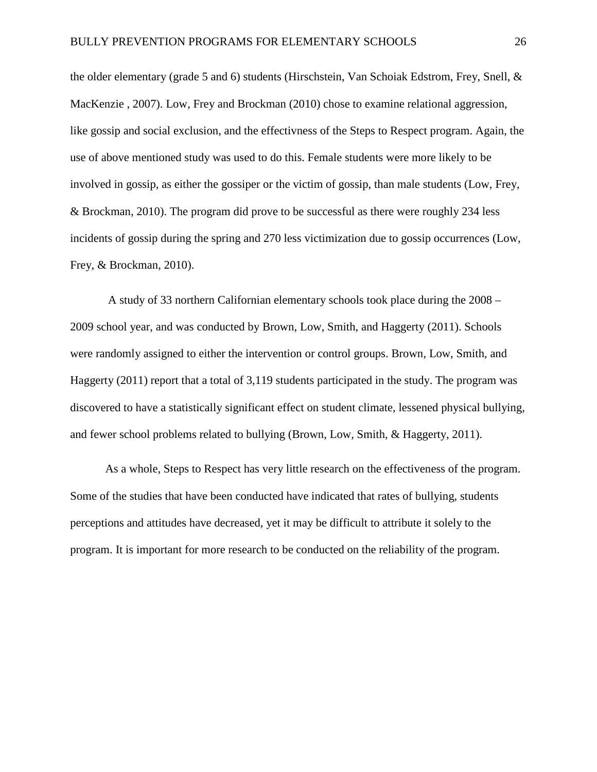the older elementary (grade 5 and 6) students (Hirschstein, Van Schoiak Edstrom, Frey, Snell, & MacKenzie , 2007). Low, Frey and Brockman (2010) chose to examine relational aggression, like gossip and social exclusion, and the effectivness of the Steps to Respect program. Again, the use of above mentioned study was used to do this. Female students were more likely to be involved in gossip, as either the gossiper or the victim of gossip, than male students (Low, Frey, & Brockman, 2010). The program did prove to be successful as there were roughly 234 less incidents of gossip during the spring and 270 less victimization due to gossip occurrences (Low, Frey, & Brockman, 2010).

A study of 33 northern Californian elementary schools took place during the 2008 – 2009 school year, and was conducted by Brown, Low, Smith, and Haggerty (2011). Schools were randomly assigned to either the intervention or control groups. Brown, Low, Smith, and Haggerty (2011) report that a total of 3,119 students participated in the study. The program was discovered to have a statistically significant effect on student climate, lessened physical bullying, and fewer school problems related to bullying (Brown, Low, Smith, & Haggerty, 2011).

As a whole, Steps to Respect has very little research on the effectiveness of the program. Some of the studies that have been conducted have indicated that rates of bullying, students perceptions and attitudes have decreased, yet it may be difficult to attribute it solely to the program. It is important for more research to be conducted on the reliability of the program.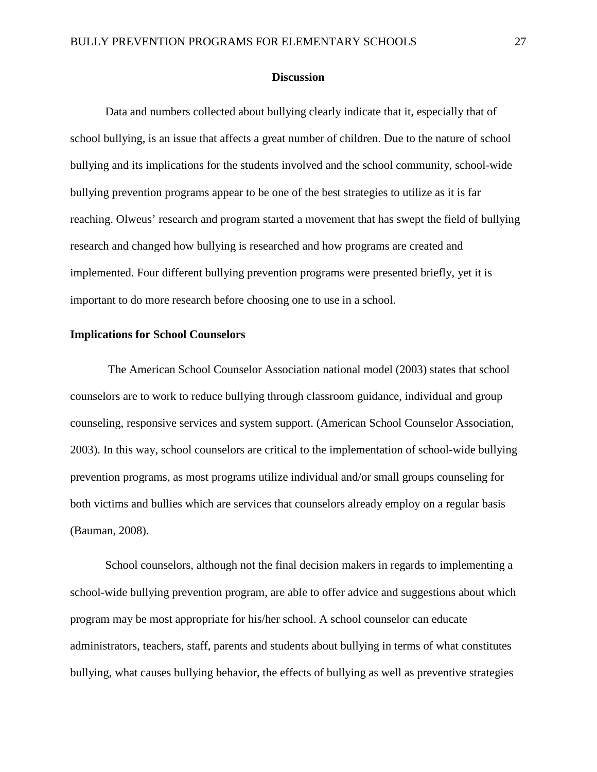#### **Discussion**

Data and numbers collected about bullying clearly indicate that it, especially that of school bullying, is an issue that affects a great number of children. Due to the nature of school bullying and its implications for the students involved and the school community, school-wide bullying prevention programs appear to be one of the best strategies to utilize as it is far reaching. Olweus' research and program started a movement that has swept the field of bullying research and changed how bullying is researched and how programs are created and implemented. Four different bullying prevention programs were presented briefly, yet it is important to do more research before choosing one to use in a school.

#### **Implications for School Counselors**

The American School Counselor Association national model (2003) states that school counselors are to work to reduce bullying through classroom guidance, individual and group counseling, responsive services and system support. (American School Counselor Association, 2003). In this way, school counselors are critical to the implementation of school-wide bullying prevention programs, as most programs utilize individual and/or small groups counseling for both victims and bullies which are services that counselors already employ on a regular basis (Bauman, 2008).

School counselors, although not the final decision makers in regards to implementing a school-wide bullying prevention program, are able to offer advice and suggestions about which program may be most appropriate for his/her school. A school counselor can educate administrators, teachers, staff, parents and students about bullying in terms of what constitutes bullying, what causes bullying behavior, the effects of bullying as well as preventive strategies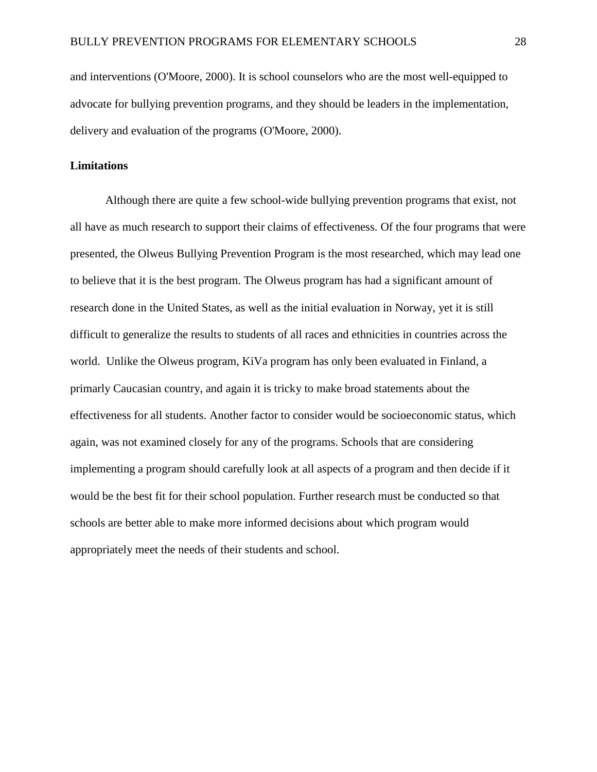and interventions (O'Moore, 2000). It is school counselors who are the most well-equipped to advocate for bullying prevention programs, and they should be leaders in the implementation, delivery and evaluation of the programs (O'Moore, 2000).

#### **Limitations**

Although there are quite a few school-wide bullying prevention programs that exist, not all have as much research to support their claims of effectiveness. Of the four programs that were presented, the Olweus Bullying Prevention Program is the most researched, which may lead one to believe that it is the best program. The Olweus program has had a significant amount of research done in the United States, as well as the initial evaluation in Norway, yet it is still difficult to generalize the results to students of all races and ethnicities in countries across the world. Unlike the Olweus program, KiVa program has only been evaluated in Finland, a primarly Caucasian country, and again it is tricky to make broad statements about the effectiveness for all students. Another factor to consider would be socioeconomic status, which again, was not examined closely for any of the programs. Schools that are considering implementing a program should carefully look at all aspects of a program and then decide if it would be the best fit for their school population. Further research must be conducted so that schools are better able to make more informed decisions about which program would appropriately meet the needs of their students and school.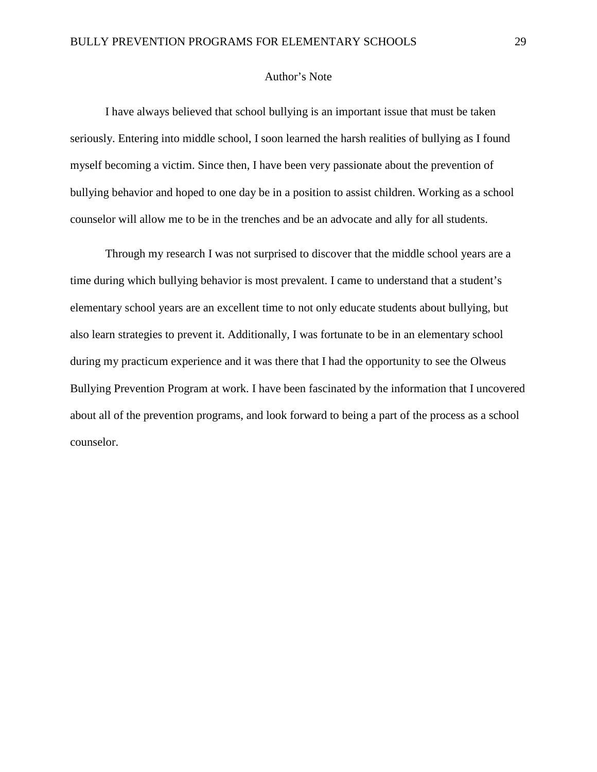#### Author's Note

I have always believed that school bullying is an important issue that must be taken seriously. Entering into middle school, I soon learned the harsh realities of bullying as I found myself becoming a victim. Since then, I have been very passionate about the prevention of bullying behavior and hoped to one day be in a position to assist children. Working as a school counselor will allow me to be in the trenches and be an advocate and ally for all students.

Through my research I was not surprised to discover that the middle school years are a time during which bullying behavior is most prevalent. I came to understand that a student's elementary school years are an excellent time to not only educate students about bullying, but also learn strategies to prevent it. Additionally, I was fortunate to be in an elementary school during my practicum experience and it was there that I had the opportunity to see the Olweus Bullying Prevention Program at work. I have been fascinated by the information that I uncovered about all of the prevention programs, and look forward to being a part of the process as a school counselor.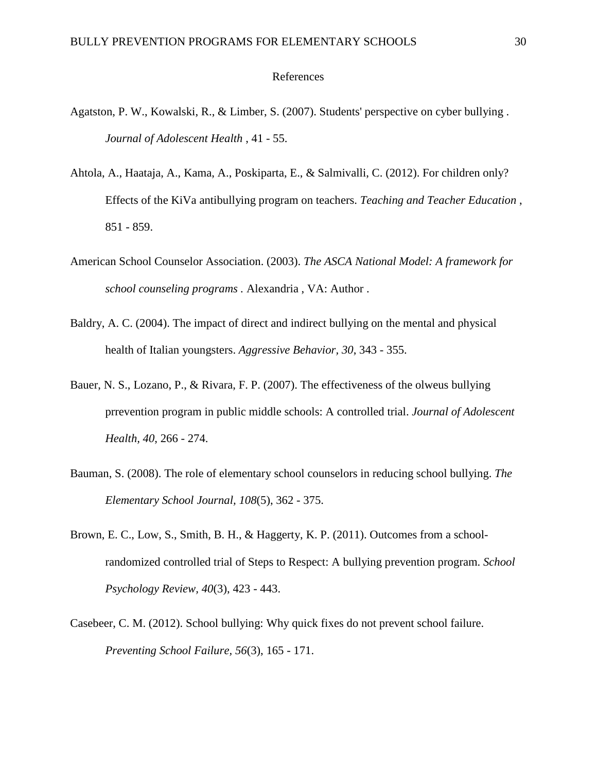#### References

- Agatston, P. W., Kowalski, R., & Limber, S. (2007). Students' perspective on cyber bullying . *Journal of Adolescent Health* , 41 - 55.
- Ahtola, A., Haataja, A., Kama, A., Poskiparta, E., & Salmivalli, C. (2012). For children only? Effects of the KiVa antibullying program on teachers. *Teaching and Teacher Education* , 851 - 859.
- American School Counselor Association. (2003). *The ASCA National Model: A framework for school counseling programs .* Alexandria , VA: Author .
- Baldry, A. C. (2004). The impact of direct and indirect bullying on the mental and physical health of Italian youngsters. *Aggressive Behavior, 30*, 343 - 355.
- Bauer, N. S., Lozano, P., & Rivara, F. P. (2007). The effectiveness of the olweus bullying prrevention program in public middle schools: A controlled trial. *Journal of Adolescent Health, 40*, 266 - 274.
- Bauman, S. (2008). The role of elementary school counselors in reducing school bullying. *The Elementary School Journal, 108*(5), 362 - 375.
- Brown, E. C., Low, S., Smith, B. H., & Haggerty, K. P. (2011). Outcomes from a schoolrandomized controlled trial of Steps to Respect: A bullying prevention program. *School Psychology Review, 40*(3), 423 - 443.
- Casebeer, C. M. (2012). School bullying: Why quick fixes do not prevent school failure. *Preventing School Failure, 56*(3), 165 - 171.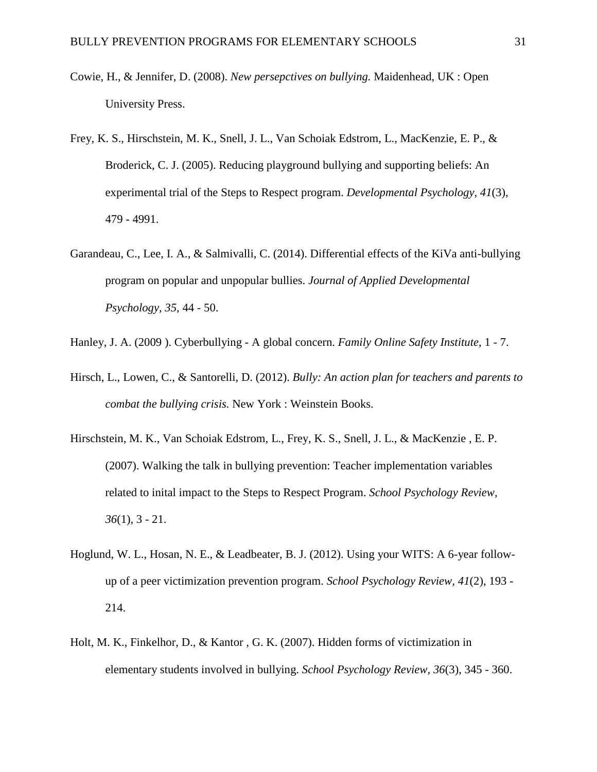- Cowie, H., & Jennifer, D. (2008). *New persepctives on bullying.* Maidenhead, UK : Open University Press.
- Frey, K. S., Hirschstein, M. K., Snell, J. L., Van Schoiak Edstrom, L., MacKenzie, E. P., & Broderick, C. J. (2005). Reducing playground bullying and supporting beliefs: An experimental trial of the Steps to Respect program. *Developmental Psychology, 41*(3), 479 - 4991.
- Garandeau, C., Lee, I. A., & Salmivalli, C. (2014). Differential effects of the KiVa anti-bullying program on popular and unpopular bullies. *Journal of Applied Developmental Psychology, 35*, 44 - 50.

Hanley, J. A. (2009 ). Cyberbullying - A global concern. *Family Online Safety Institute*, 1 - 7.

- Hirsch, L., Lowen, C., & Santorelli, D. (2012). *Bully: An action plan for teachers and parents to combat the bullying crisis.* New York : Weinstein Books.
- Hirschstein, M. K., Van Schoiak Edstrom, L., Frey, K. S., Snell, J. L., & MacKenzie , E. P. (2007). Walking the talk in bullying prevention: Teacher implementation variables related to inital impact to the Steps to Respect Program. *School Psychology Review, 36*(1), 3 - 21.
- Hoglund, W. L., Hosan, N. E., & Leadbeater, B. J. (2012). Using your WITS: A 6-year followup of a peer victimization prevention program. *School Psychology Review, 41*(2), 193 - 214.
- Holt, M. K., Finkelhor, D., & Kantor , G. K. (2007). Hidden forms of victimization in elementary students involved in bullying. *School Psychology Review, 36*(3), 345 - 360.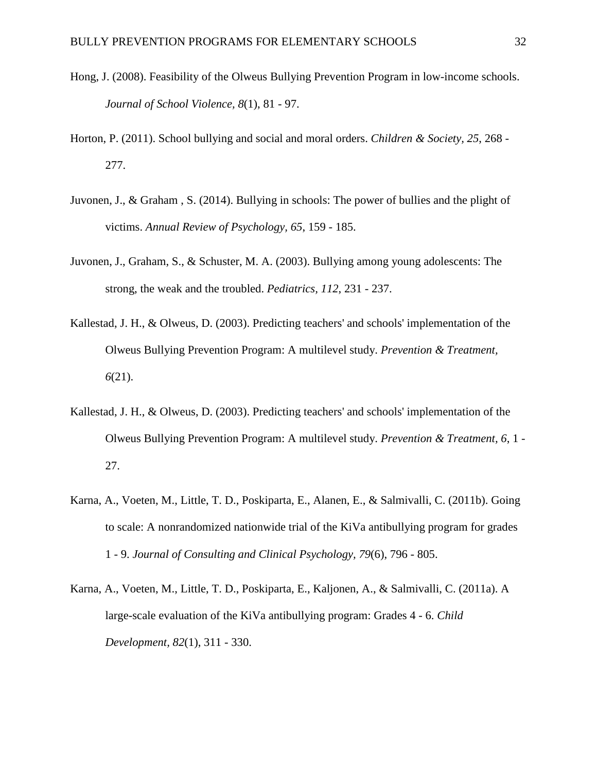- Hong, J. (2008). Feasibility of the Olweus Bullying Prevention Program in low-income schools. *Journal of School Violence, 8*(1), 81 - 97.
- Horton, P. (2011). School bullying and social and moral orders. *Children & Society, 25*, 268 277.
- Juvonen, J., & Graham , S. (2014). Bullying in schools: The power of bullies and the plight of victims. *Annual Review of Psychology, 65*, 159 - 185.
- Juvonen, J., Graham, S., & Schuster, M. A. (2003). Bullying among young adolescents: The strong, the weak and the troubled. *Pediatrics, 112*, 231 - 237.
- Kallestad, J. H., & Olweus, D. (2003). Predicting teachers' and schools' implementation of the Olweus Bullying Prevention Program: A multilevel study. *Prevention & Treatment, 6*(21).
- Kallestad, J. H., & Olweus, D. (2003). Predicting teachers' and schools' implementation of the Olweus Bullying Prevention Program: A multilevel study. *Prevention & Treatment, 6*, 1 - 27.
- Karna, A., Voeten, M., Little, T. D., Poskiparta, E., Alanen, E., & Salmivalli, C. (2011b). Going to scale: A nonrandomized nationwide trial of the KiVa antibullying program for grades 1 - 9. *Journal of Consulting and Clinical Psychology, 79*(6), 796 - 805.
- Karna, A., Voeten, M., Little, T. D., Poskiparta, E., Kaljonen, A., & Salmivalli, C. (2011a). A large-scale evaluation of the KiVa antibullying program: Grades 4 - 6. *Child Development, 82*(1), 311 - 330.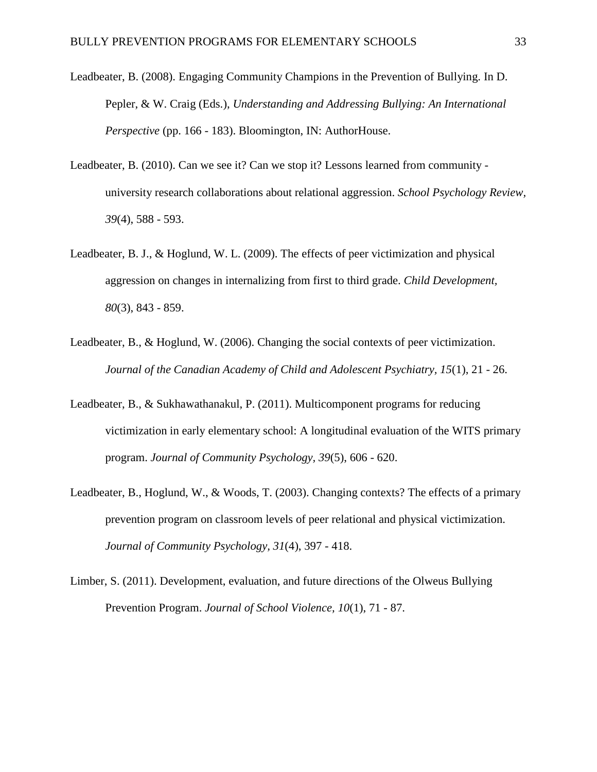- Leadbeater, B. (2008). Engaging Community Champions in the Prevention of Bullying. In D. Pepler, & W. Craig (Eds.), *Understanding and Addressing Bullying: An International Perspective* (pp. 166 - 183). Bloomington, IN: AuthorHouse.
- Leadbeater, B. (2010). Can we see it? Can we stop it? Lessons learned from community university research collaborations about relational aggression. *School Psychology Review, 39*(4), 588 - 593.
- Leadbeater, B. J., & Hoglund, W. L. (2009). The effects of peer victimization and physical aggression on changes in internalizing from first to third grade. *Child Development, 80*(3), 843 - 859.
- Leadbeater, B., & Hoglund, W. (2006). Changing the social contexts of peer victimization. *Journal of the Canadian Academy of Child and Adolescent Psychiatry, 15*(1), 21 - 26.
- Leadbeater, B., & Sukhawathanakul, P. (2011). Multicomponent programs for reducing victimization in early elementary school: A longitudinal evaluation of the WITS primary program. *Journal of Community Psychology, 39*(5), 606 - 620.
- Leadbeater, B., Hoglund, W., & Woods, T. (2003). Changing contexts? The effects of a primary prevention program on classroom levels of peer relational and physical victimization. *Journal of Community Psychology, 31*(4), 397 - 418.
- Limber, S. (2011). Development, evaluation, and future directions of the Olweus Bullying Prevention Program. *Journal of School Violence, 10*(1), 71 - 87.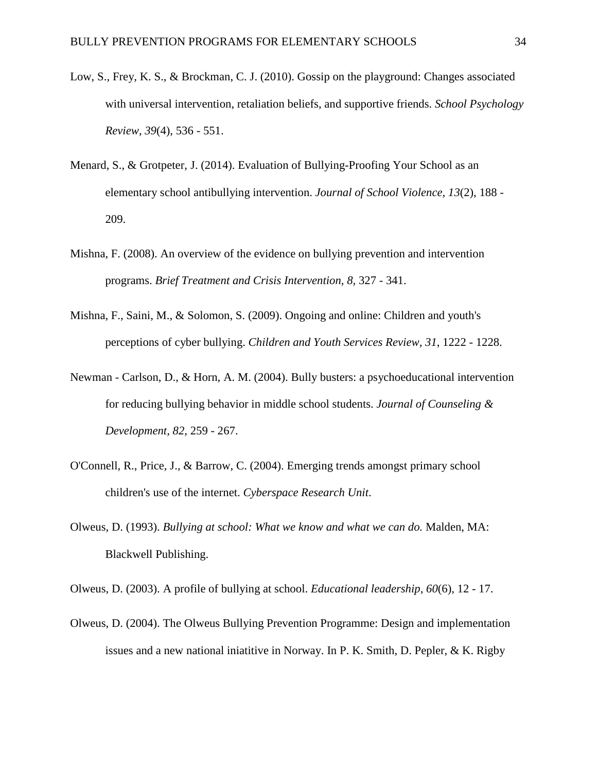- Low, S., Frey, K. S., & Brockman, C. J. (2010). Gossip on the playground: Changes associated with universal intervention, retaliation beliefs, and supportive friends. *School Psychology Review, 39*(4), 536 - 551.
- Menard, S., & Grotpeter, J. (2014). Evaluation of Bullying-Proofing Your School as an elementary school antibullying intervention. *Journal of School Violence, 13*(2), 188 - 209.
- Mishna, F. (2008). An overview of the evidence on bullying prevention and intervention programs. *Brief Treatment and Crisis Intervention, 8*, 327 - 341.
- Mishna, F., Saini, M., & Solomon, S. (2009). Ongoing and online: Children and youth's perceptions of cyber bullying. *Children and Youth Services Review, 31*, 1222 - 1228.
- Newman Carlson, D., & Horn, A. M. (2004). Bully busters: a psychoeducational intervention for reducing bullying behavior in middle school students. *Journal of Counseling & Development, 82*, 259 - 267.
- O'Connell, R., Price, J., & Barrow, C. (2004). Emerging trends amongst primary school children's use of the internet. *Cyberspace Research Unit*.
- Olweus, D. (1993). *Bullying at school: What we know and what we can do.* Malden, MA: Blackwell Publishing.

Olweus, D. (2003). A profile of bullying at school. *Educational leadership, 60*(6), 12 - 17.

Olweus, D. (2004). The Olweus Bullying Prevention Programme: Design and implementation issues and a new national iniatitive in Norway. In P. K. Smith, D. Pepler, & K. Rigby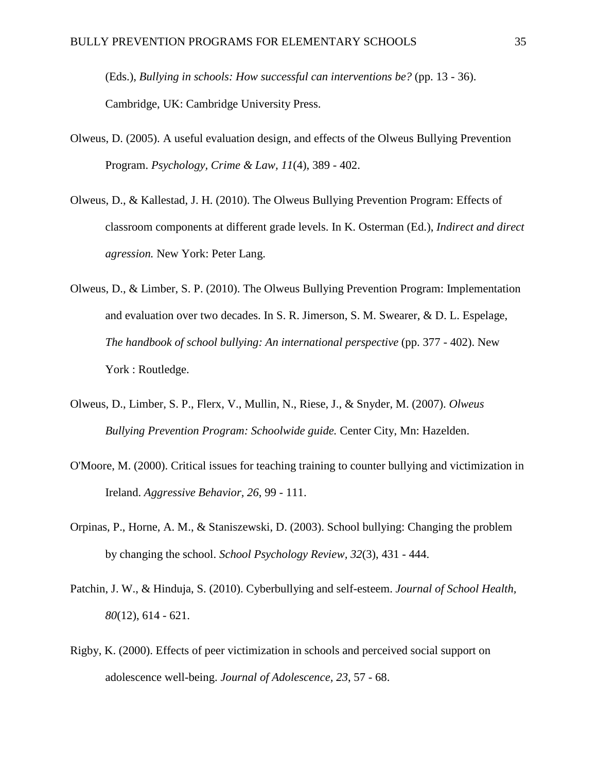(Eds.), *Bullying in schools: How successful can interventions be?* (pp. 13 - 36). Cambridge, UK: Cambridge University Press.

- Olweus, D. (2005). A useful evaluation design, and effects of the Olweus Bullying Prevention Program. *Psychology, Crime & Law, 11*(4), 389 - 402.
- Olweus, D., & Kallestad, J. H. (2010). The Olweus Bullying Prevention Program: Effects of classroom components at different grade levels. In K. Osterman (Ed.), *Indirect and direct agression.* New York: Peter Lang.
- Olweus, D., & Limber, S. P. (2010). The Olweus Bullying Prevention Program: Implementation and evaluation over two decades. In S. R. Jimerson, S. M. Swearer, & D. L. Espelage, *The handbook of school bullying: An international perspective* (pp. 377 - 402). New York : Routledge.
- Olweus, D., Limber, S. P., Flerx, V., Mullin, N., Riese, J., & Snyder, M. (2007). *Olweus Bullying Prevention Program: Schoolwide guide.* Center City, Mn: Hazelden.
- O'Moore, M. (2000). Critical issues for teaching training to counter bullying and victimization in Ireland. *Aggressive Behavior, 26*, 99 - 111.
- Orpinas, P., Horne, A. M., & Staniszewski, D. (2003). School bullying: Changing the problem by changing the school. *School Psychology Review, 32*(3), 431 - 444.
- Patchin, J. W., & Hinduja, S. (2010). Cyberbullying and self-esteem. *Journal of School Health, 80*(12), 614 - 621.
- Rigby, K. (2000). Effects of peer victimization in schools and perceived social support on adolescence well-being. *Journal of Adolescence, 23*, 57 - 68.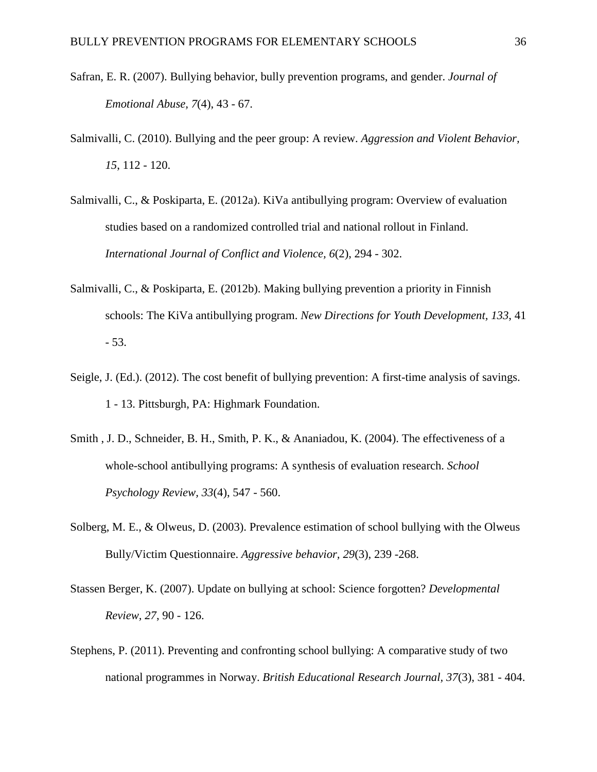- Safran, E. R. (2007). Bullying behavior, bully prevention programs, and gender. *Journal of Emotional Abuse, 7*(4), 43 - 67.
- Salmivalli, C. (2010). Bullying and the peer group: A review. *Aggression and Violent Behavior, 15*, 112 - 120.
- Salmivalli, C., & Poskiparta, E. (2012a). KiVa antibullying program: Overview of evaluation studies based on a randomized controlled trial and national rollout in Finland. *International Journal of Conflict and Violence, 6*(2), 294 - 302.
- Salmivalli, C., & Poskiparta, E. (2012b). Making bullying prevention a priority in Finnish schools: The KiVa antibullying program. *New Directions for Youth Development, 133*, 41 - 53.
- Seigle, J. (Ed.). (2012). The cost benefit of bullying prevention: A first-time analysis of savings. 1 - 13. Pittsburgh, PA: Highmark Foundation.
- Smith , J. D., Schneider, B. H., Smith, P. K., & Ananiadou, K. (2004). The effectiveness of a whole-school antibullying programs: A synthesis of evaluation research. *School Psychology Review, 33*(4), 547 - 560.
- Solberg, M. E., & Olweus, D. (2003). Prevalence estimation of school bullying with the Olweus Bully/Victim Questionnaire. *Aggressive behavior, 29*(3), 239 -268.
- Stassen Berger, K. (2007). Update on bullying at school: Science forgotten? *Developmental Review, 27*, 90 - 126.
- Stephens, P. (2011). Preventing and confronting school bullying: A comparative study of two national programmes in Norway. *British Educational Research Journal, 37*(3), 381 - 404.